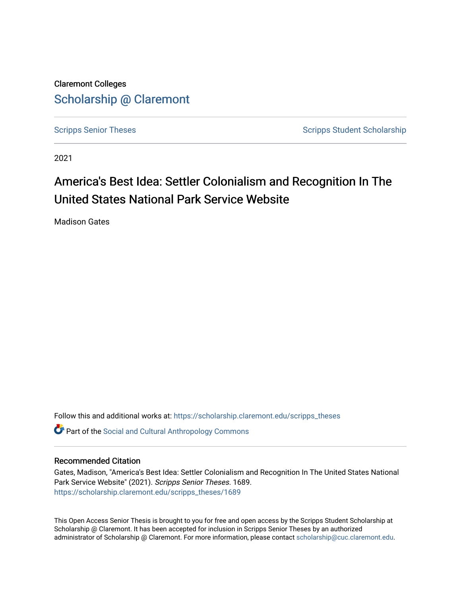Claremont Colleges [Scholarship @ Claremont](https://scholarship.claremont.edu/) 

[Scripps Senior Theses](https://scholarship.claremont.edu/scripps_theses) Scripps Student Scholarship

2021

# America's Best Idea: Settler Colonialism and Recognition In The United States National Park Service Website

Madison Gates

Follow this and additional works at: [https://scholarship.claremont.edu/scripps\\_theses](https://scholarship.claremont.edu/scripps_theses?utm_source=scholarship.claremont.edu%2Fscripps_theses%2F1689&utm_medium=PDF&utm_campaign=PDFCoverPages)

**C** Part of the Social and Cultural Anthropology Commons

### Recommended Citation

Gates, Madison, "America's Best Idea: Settler Colonialism and Recognition In The United States National Park Service Website" (2021). Scripps Senior Theses. 1689. [https://scholarship.claremont.edu/scripps\\_theses/1689](https://scholarship.claremont.edu/scripps_theses/1689?utm_source=scholarship.claremont.edu%2Fscripps_theses%2F1689&utm_medium=PDF&utm_campaign=PDFCoverPages) 

This Open Access Senior Thesis is brought to you for free and open access by the Scripps Student Scholarship at Scholarship @ Claremont. It has been accepted for inclusion in Scripps Senior Theses by an authorized administrator of Scholarship @ Claremont. For more information, please contact [scholarship@cuc.claremont.edu.](mailto:scholarship@cuc.claremont.edu)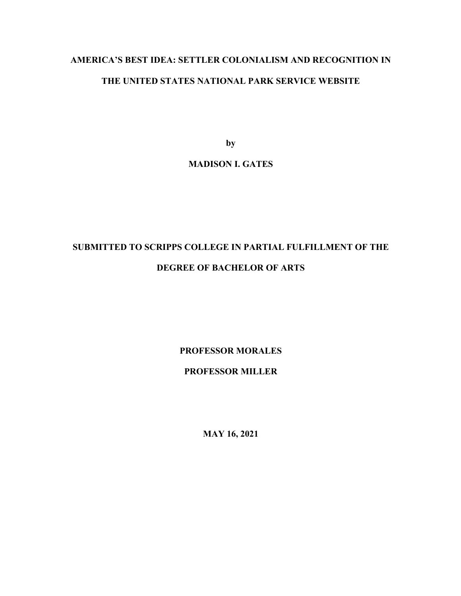# **AMERICA'S BEST IDEA: SETTLER COLONIALISM AND RECOGNITION IN THE UNITED STATES NATIONAL PARK SERVICE WEBSITE**

**by**

# **MADISON I. GATES**

# **SUBMITTED TO SCRIPPS COLLEGE IN PARTIAL FULFILLMENT OF THE**

# **DEGREE OF BACHELOR OF ARTS**

**PROFESSOR MORALES** 

# **PROFESSOR MILLER**

**MAY 16, 2021**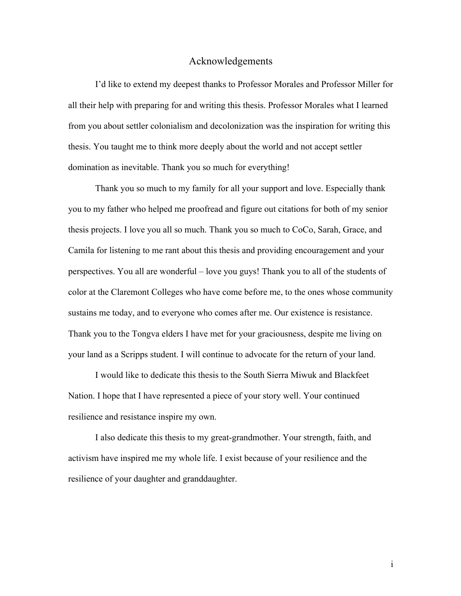# Acknowledgements

I'd like to extend my deepest thanks to Professor Morales and Professor Miller for all their help with preparing for and writing this thesis. Professor Morales what I learned from you about settler colonialism and decolonization was the inspiration for writing this thesis. You taught me to think more deeply about the world and not accept settler domination as inevitable. Thank you so much for everything!

Thank you so much to my family for all your support and love. Especially thank you to my father who helped me proofread and figure out citations for both of my senior thesis projects. I love you all so much. Thank you so much to CoCo, Sarah, Grace, and Camila for listening to me rant about this thesis and providing encouragement and your perspectives. You all are wonderful – love you guys! Thank you to all of the students of color at the Claremont Colleges who have come before me, to the ones whose community sustains me today, and to everyone who comes after me. Our existence is resistance. Thank you to the Tongva elders I have met for your graciousness, despite me living on your land as a Scripps student. I will continue to advocate for the return of your land.

I would like to dedicate this thesis to the South Sierra Miwuk and Blackfeet Nation. I hope that I have represented a piece of your story well. Your continued resilience and resistance inspire my own.

I also dedicate this thesis to my great-grandmother. Your strength, faith, and activism have inspired me my whole life. I exist because of your resilience and the resilience of your daughter and granddaughter.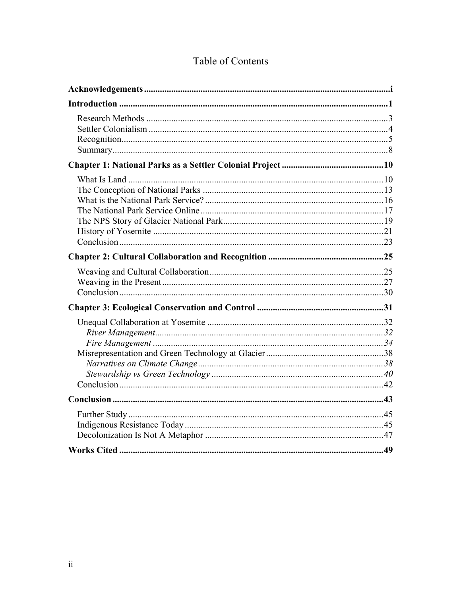|  | Table of Contents |  |
|--|-------------------|--|
|  |                   |  |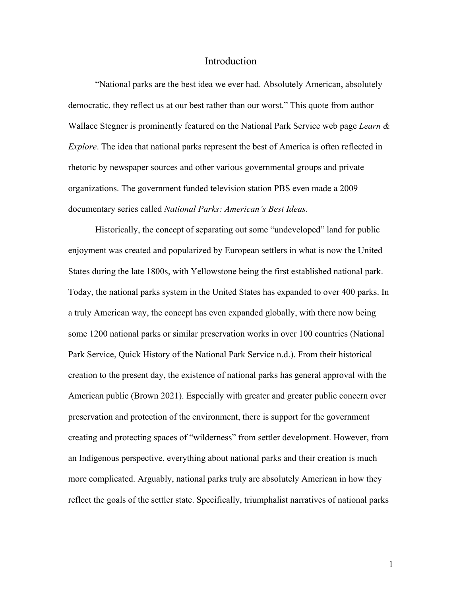# Introduction

"National parks are the best idea we ever had. Absolutely American, absolutely democratic, they reflect us at our best rather than our worst." This quote from author Wallace Stegner is prominently featured on the National Park Service web page *Learn & Explore*. The idea that national parks represent the best of America is often reflected in rhetoric by newspaper sources and other various governmental groups and private organizations. The government funded television station PBS even made a 2009 documentary series called *National Parks: American's Best Ideas*.

Historically, the concept of separating out some "undeveloped" land for public enjoyment was created and popularized by European settlers in what is now the United States during the late 1800s, with Yellowstone being the first established national park. Today, the national parks system in the United States has expanded to over 400 parks. In a truly American way, the concept has even expanded globally, with there now being some 1200 national parks or similar preservation works in over 100 countries (National Park Service, Quick History of the National Park Service n.d.). From their historical creation to the present day, the existence of national parks has general approval with the American public (Brown 2021). Especially with greater and greater public concern over preservation and protection of the environment, there is support for the government creating and protecting spaces of "wilderness" from settler development. However, from an Indigenous perspective, everything about national parks and their creation is much more complicated. Arguably, national parks truly are absolutely American in how they reflect the goals of the settler state. Specifically, triumphalist narratives of national parks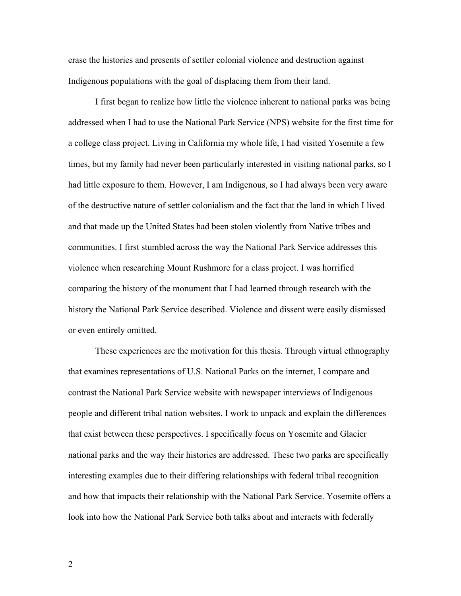erase the histories and presents of settler colonial violence and destruction against Indigenous populations with the goal of displacing them from their land.

I first began to realize how little the violence inherent to national parks was being addressed when I had to use the National Park Service (NPS) website for the first time for a college class project. Living in California my whole life, I had visited Yosemite a few times, but my family had never been particularly interested in visiting national parks, so I had little exposure to them. However, I am Indigenous, so I had always been very aware of the destructive nature of settler colonialism and the fact that the land in which I lived and that made up the United States had been stolen violently from Native tribes and communities. I first stumbled across the way the National Park Service addresses this violence when researching Mount Rushmore for a class project. I was horrified comparing the history of the monument that I had learned through research with the history the National Park Service described. Violence and dissent were easily dismissed or even entirely omitted.

These experiences are the motivation for this thesis. Through virtual ethnography that examines representations of U.S. National Parks on the internet, I compare and contrast the National Park Service website with newspaper interviews of Indigenous people and different tribal nation websites. I work to unpack and explain the differences that exist between these perspectives. I specifically focus on Yosemite and Glacier national parks and the way their histories are addressed. These two parks are specifically interesting examples due to their differing relationships with federal tribal recognition and how that impacts their relationship with the National Park Service. Yosemite offers a look into how the National Park Service both talks about and interacts with federally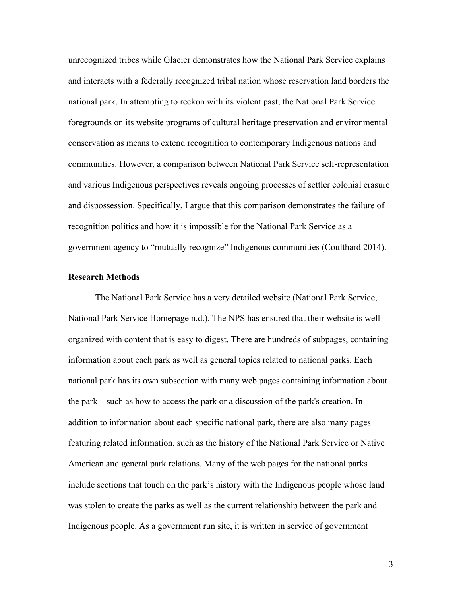unrecognized tribes while Glacier demonstrates how the National Park Service explains and interacts with a federally recognized tribal nation whose reservation land borders the national park. In attempting to reckon with its violent past, the National Park Service foregrounds on its website programs of cultural heritage preservation and environmental conservation as means to extend recognition to contemporary Indigenous nations and communities. However, a comparison between National Park Service self-representation and various Indigenous perspectives reveals ongoing processes of settler colonial erasure and dispossession. Specifically, I argue that this comparison demonstrates the failure of recognition politics and how it is impossible for the National Park Service as a government agency to "mutually recognize" Indigenous communities (Coulthard 2014).

# **Research Methods**

The National Park Service has a very detailed website (National Park Service, National Park Service Homepage n.d.). The NPS has ensured that their website is well organized with content that is easy to digest. There are hundreds of subpages, containing information about each park as well as general topics related to national parks. Each national park has its own subsection with many web pages containing information about the park – such as how to access the park or a discussion of the park's creation. In addition to information about each specific national park, there are also many pages featuring related information, such as the history of the National Park Service or Native American and general park relations. Many of the web pages for the national parks include sections that touch on the park's history with the Indigenous people whose land was stolen to create the parks as well as the current relationship between the park and Indigenous people. As a government run site, it is written in service of government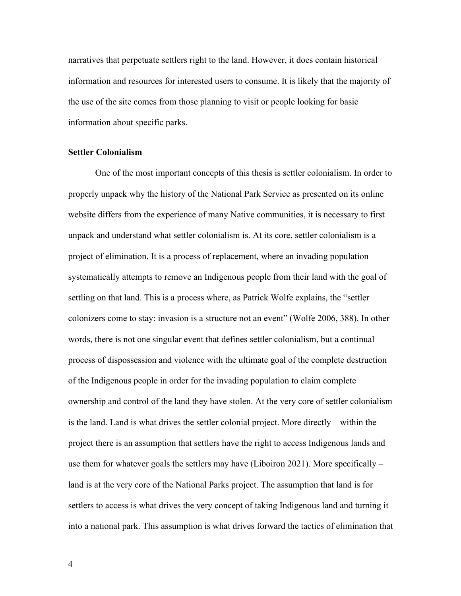narratives that perpetuate settlers right to the land. However, it does contain historical information and resources for interested users to consume. It is likely that the majority of the use of the site comes from those planning to visit or people looking for basic information about specific parks.

### **Settler Colonialism**

One of the most important concepts of this thesis is settler colonialism. In order to properly unpack why the history of the National Park Service as presented on its online website differs from the experience of many Native communities, it is necessary to first unpack and understand what settler colonialism is. At its core, settler colonialism is a project of elimination. It is a process of replacement, where an invading population systematically attempts to remove an Indigenous people from their land with the goal of settling on that land. This is a process where, as Patrick Wolfe explains, the "settler colonizers come to stay: invasion is a structure not an event" (Wolfe 2006, 388). In other words, there is not one singular event that defines settler colonialism, but a continual process of dispossession and violence with the ultimate goal of the complete destruction of the Indigenous people in order for the invading population to claim complete ownership and control of the land they have stolen. At the very core of settler colonialism is the land. Land is what drives the settler colonial project. More directly – within the project there is an assumption that settlers have the right to access Indigenous lands and use them for whatever goals the settlers may have (Liboiron 2021). More specifically – land is at the very core of the National Parks project. The assumption that land is for settlers to access is what drives the very concept of taking Indigenous land and turning it into a national park. This assumption is what drives forward the tactics of elimination that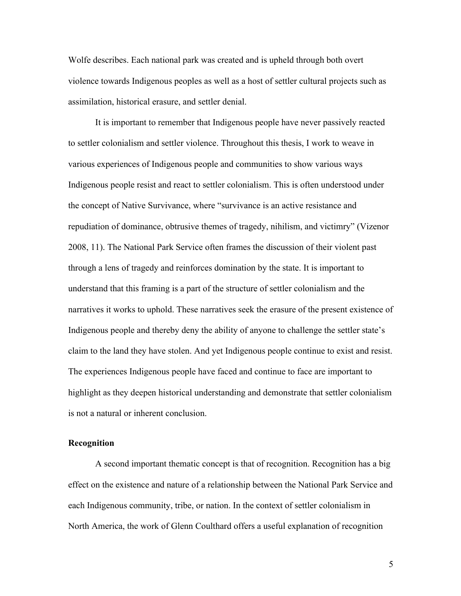Wolfe describes. Each national park was created and is upheld through both overt violence towards Indigenous peoples as well as a host of settler cultural projects such as assimilation, historical erasure, and settler denial.

It is important to remember that Indigenous people have never passively reacted to settler colonialism and settler violence. Throughout this thesis, I work to weave in various experiences of Indigenous people and communities to show various ways Indigenous people resist and react to settler colonialism. This is often understood under the concept of Native Survivance, where "survivance is an active resistance and repudiation of dominance, obtrusive themes of tragedy, nihilism, and victimry" (Vizenor 2008, 11). The National Park Service often frames the discussion of their violent past through a lens of tragedy and reinforces domination by the state. It is important to understand that this framing is a part of the structure of settler colonialism and the narratives it works to uphold. These narratives seek the erasure of the present existence of Indigenous people and thereby deny the ability of anyone to challenge the settler state's claim to the land they have stolen. And yet Indigenous people continue to exist and resist. The experiences Indigenous people have faced and continue to face are important to highlight as they deepen historical understanding and demonstrate that settler colonialism is not a natural or inherent conclusion.

### **Recognition**

A second important thematic concept is that of recognition. Recognition has a big effect on the existence and nature of a relationship between the National Park Service and each Indigenous community, tribe, or nation. In the context of settler colonialism in North America, the work of Glenn Coulthard offers a useful explanation of recognition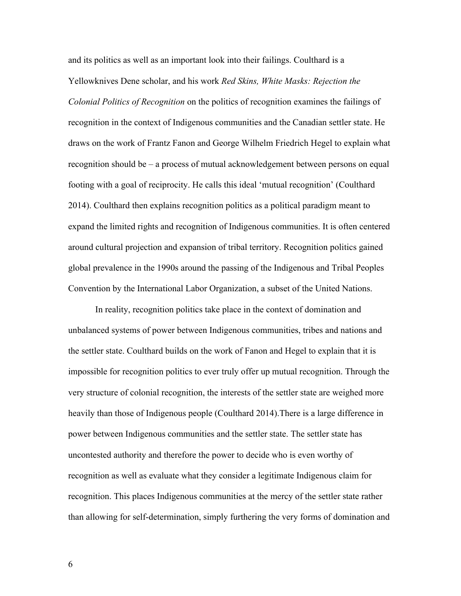and its politics as well as an important look into their failings. Coulthard is a Yellowknives Dene scholar, and his work *Red Skins, White Masks: Rejection the Colonial Politics of Recognition* on the politics of recognition examines the failings of recognition in the context of Indigenous communities and the Canadian settler state. He draws on the work of Frantz Fanon and George Wilhelm Friedrich Hegel to explain what recognition should be – a process of mutual acknowledgement between persons on equal footing with a goal of reciprocity. He calls this ideal 'mutual recognition' (Coulthard 2014). Coulthard then explains recognition politics as a political paradigm meant to expand the limited rights and recognition of Indigenous communities. It is often centered around cultural projection and expansion of tribal territory. Recognition politics gained global prevalence in the 1990s around the passing of the Indigenous and Tribal Peoples Convention by the International Labor Organization, a subset of the United Nations.

In reality, recognition politics take place in the context of domination and unbalanced systems of power between Indigenous communities, tribes and nations and the settler state. Coulthard builds on the work of Fanon and Hegel to explain that it is impossible for recognition politics to ever truly offer up mutual recognition. Through the very structure of colonial recognition, the interests of the settler state are weighed more heavily than those of Indigenous people (Coulthard 2014).There is a large difference in power between Indigenous communities and the settler state. The settler state has uncontested authority and therefore the power to decide who is even worthy of recognition as well as evaluate what they consider a legitimate Indigenous claim for recognition. This places Indigenous communities at the mercy of the settler state rather than allowing for self-determination, simply furthering the very forms of domination and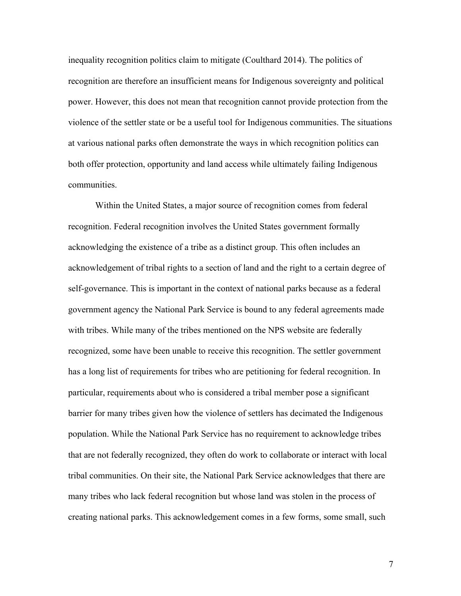inequality recognition politics claim to mitigate (Coulthard 2014). The politics of recognition are therefore an insufficient means for Indigenous sovereignty and political power. However, this does not mean that recognition cannot provide protection from the violence of the settler state or be a useful tool for Indigenous communities. The situations at various national parks often demonstrate the ways in which recognition politics can both offer protection, opportunity and land access while ultimately failing Indigenous communities.

Within the United States, a major source of recognition comes from federal recognition. Federal recognition involves the United States government formally acknowledging the existence of a tribe as a distinct group. This often includes an acknowledgement of tribal rights to a section of land and the right to a certain degree of self-governance. This is important in the context of national parks because as a federal government agency the National Park Service is bound to any federal agreements made with tribes. While many of the tribes mentioned on the NPS website are federally recognized, some have been unable to receive this recognition. The settler government has a long list of requirements for tribes who are petitioning for federal recognition. In particular, requirements about who is considered a tribal member pose a significant barrier for many tribes given how the violence of settlers has decimated the Indigenous population. While the National Park Service has no requirement to acknowledge tribes that are not federally recognized, they often do work to collaborate or interact with local tribal communities. On their site, the National Park Service acknowledges that there are many tribes who lack federal recognition but whose land was stolen in the process of creating national parks. This acknowledgement comes in a few forms, some small, such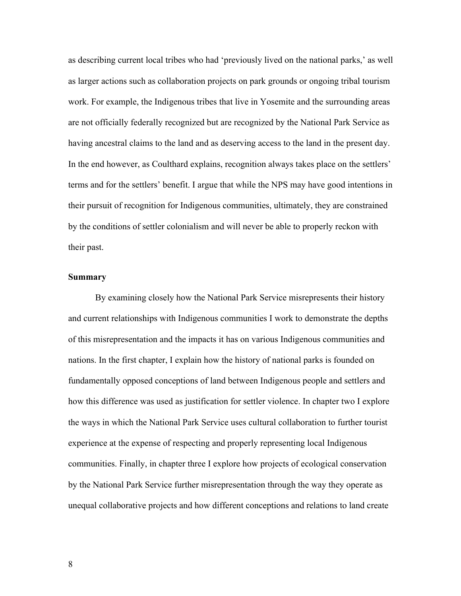as describing current local tribes who had 'previously lived on the national parks,' as well as larger actions such as collaboration projects on park grounds or ongoing tribal tourism work. For example, the Indigenous tribes that live in Yosemite and the surrounding areas are not officially federally recognized but are recognized by the National Park Service as having ancestral claims to the land and as deserving access to the land in the present day. In the end however, as Coulthard explains, recognition always takes place on the settlers' terms and for the settlers' benefit. I argue that while the NPS may have good intentions in their pursuit of recognition for Indigenous communities, ultimately, they are constrained by the conditions of settler colonialism and will never be able to properly reckon with their past.

# **Summary**

By examining closely how the National Park Service misrepresents their history and current relationships with Indigenous communities I work to demonstrate the depths of this misrepresentation and the impacts it has on various Indigenous communities and nations. In the first chapter, I explain how the history of national parks is founded on fundamentally opposed conceptions of land between Indigenous people and settlers and how this difference was used as justification for settler violence. In chapter two I explore the ways in which the National Park Service uses cultural collaboration to further tourist experience at the expense of respecting and properly representing local Indigenous communities. Finally, in chapter three I explore how projects of ecological conservation by the National Park Service further misrepresentation through the way they operate as unequal collaborative projects and how different conceptions and relations to land create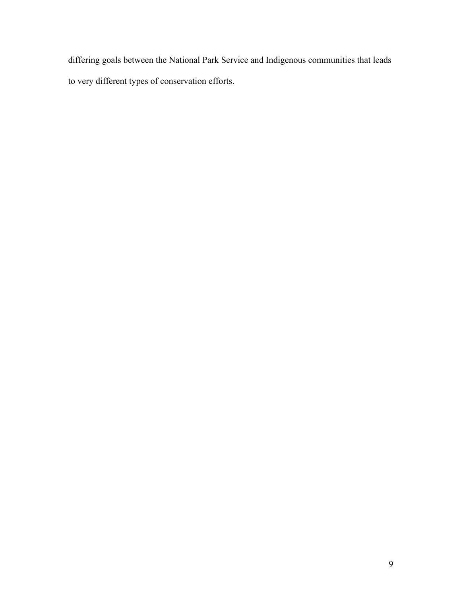differing goals between the National Park Service and Indigenous communities that leads to very different types of conservation efforts.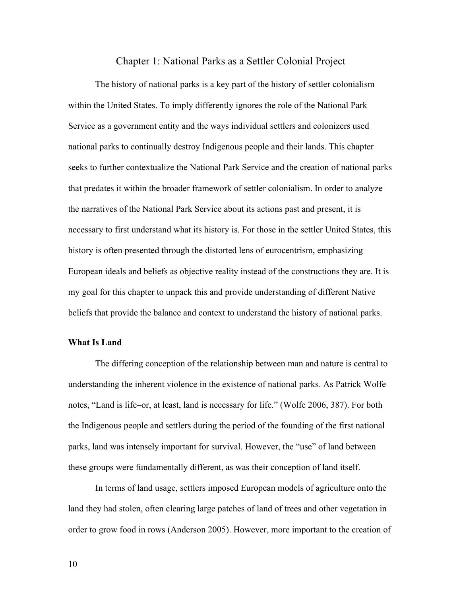# Chapter 1: National Parks as a Settler Colonial Project

The history of national parks is a key part of the history of settler colonialism within the United States. To imply differently ignores the role of the National Park Service as a government entity and the ways individual settlers and colonizers used national parks to continually destroy Indigenous people and their lands. This chapter seeks to further contextualize the National Park Service and the creation of national parks that predates it within the broader framework of settler colonialism. In order to analyze the narratives of the National Park Service about its actions past and present, it is necessary to first understand what its history is. For those in the settler United States, this history is often presented through the distorted lens of eurocentrism, emphasizing European ideals and beliefs as objective reality instead of the constructions they are. It is my goal for this chapter to unpack this and provide understanding of different Native beliefs that provide the balance and context to understand the history of national parks.

### **What Is Land**

The differing conception of the relationship between man and nature is central to understanding the inherent violence in the existence of national parks. As Patrick Wolfe notes, "Land is life–or, at least, land is necessary for life." (Wolfe 2006, 387). For both the Indigenous people and settlers during the period of the founding of the first national parks, land was intensely important for survival. However, the "use" of land between these groups were fundamentally different, as was their conception of land itself.

In terms of land usage, settlers imposed European models of agriculture onto the land they had stolen, often clearing large patches of land of trees and other vegetation in order to grow food in rows (Anderson 2005). However, more important to the creation of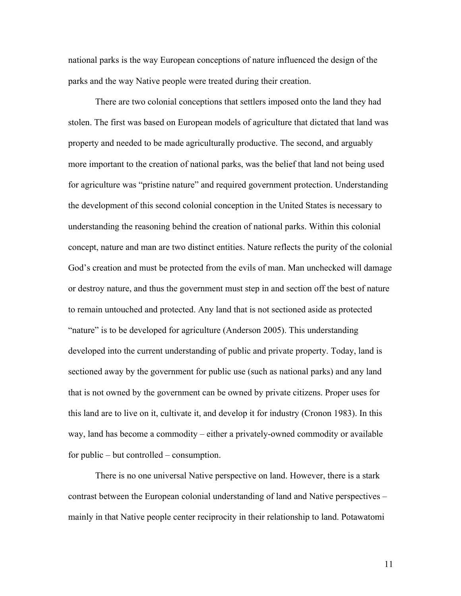national parks is the way European conceptions of nature influenced the design of the parks and the way Native people were treated during their creation.

There are two colonial conceptions that settlers imposed onto the land they had stolen. The first was based on European models of agriculture that dictated that land was property and needed to be made agriculturally productive. The second, and arguably more important to the creation of national parks, was the belief that land not being used for agriculture was "pristine nature" and required government protection. Understanding the development of this second colonial conception in the United States is necessary to understanding the reasoning behind the creation of national parks. Within this colonial concept, nature and man are two distinct entities. Nature reflects the purity of the colonial God's creation and must be protected from the evils of man. Man unchecked will damage or destroy nature, and thus the government must step in and section off the best of nature to remain untouched and protected. Any land that is not sectioned aside as protected "nature" is to be developed for agriculture (Anderson 2005). This understanding developed into the current understanding of public and private property. Today, land is sectioned away by the government for public use (such as national parks) and any land that is not owned by the government can be owned by private citizens. Proper uses for this land are to live on it, cultivate it, and develop it for industry (Cronon 1983). In this way, land has become a commodity – either a privately-owned commodity or available for public – but controlled – consumption.

There is no one universal Native perspective on land. However, there is a stark contrast between the European colonial understanding of land and Native perspectives – mainly in that Native people center reciprocity in their relationship to land. Potawatomi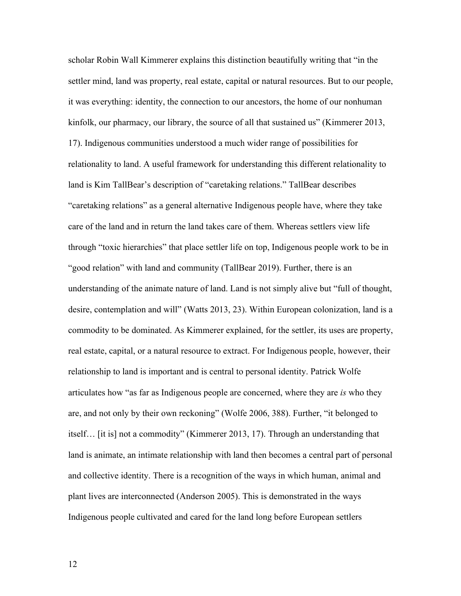scholar Robin Wall Kimmerer explains this distinction beautifully writing that "in the settler mind, land was property, real estate, capital or natural resources. But to our people, it was everything: identity, the connection to our ancestors, the home of our nonhuman kinfolk, our pharmacy, our library, the source of all that sustained us" (Kimmerer 2013, 17). Indigenous communities understood a much wider range of possibilities for relationality to land. A useful framework for understanding this different relationality to land is Kim TallBear's description of "caretaking relations." TallBear describes "caretaking relations" as a general alternative Indigenous people have, where they take care of the land and in return the land takes care of them. Whereas settlers view life through "toxic hierarchies" that place settler life on top, Indigenous people work to be in "good relation" with land and community (TallBear 2019). Further, there is an understanding of the animate nature of land. Land is not simply alive but "full of thought, desire, contemplation and will" (Watts 2013, 23). Within European colonization, land is a commodity to be dominated. As Kimmerer explained, for the settler, its uses are property, real estate, capital, or a natural resource to extract. For Indigenous people, however, their relationship to land is important and is central to personal identity. Patrick Wolfe articulates how "as far as Indigenous people are concerned, where they are *is* who they are, and not only by their own reckoning" (Wolfe 2006, 388). Further, "it belonged to itself… [it is] not a commodity" (Kimmerer 2013, 17). Through an understanding that land is animate, an intimate relationship with land then becomes a central part of personal and collective identity. There is a recognition of the ways in which human, animal and plant lives are interconnected (Anderson 2005). This is demonstrated in the ways Indigenous people cultivated and cared for the land long before European settlers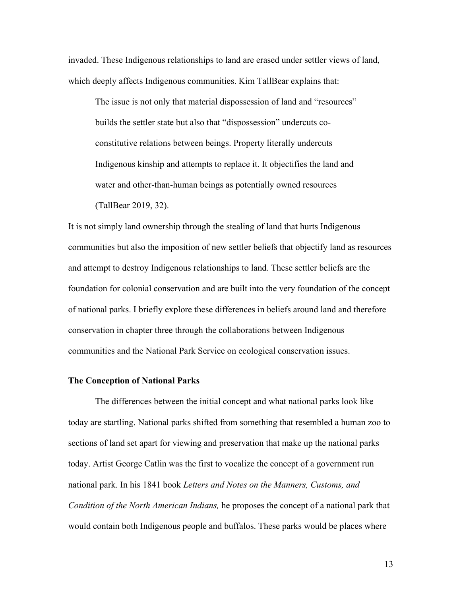invaded. These Indigenous relationships to land are erased under settler views of land, which deeply affects Indigenous communities. Kim TallBear explains that:

The issue is not only that material dispossession of land and "resources" builds the settler state but also that "dispossession" undercuts coconstitutive relations between beings. Property literally undercuts Indigenous kinship and attempts to replace it. It objectifies the land and water and other-than-human beings as potentially owned resources (TallBear 2019, 32).

It is not simply land ownership through the stealing of land that hurts Indigenous communities but also the imposition of new settler beliefs that objectify land as resources and attempt to destroy Indigenous relationships to land. These settler beliefs are the foundation for colonial conservation and are built into the very foundation of the concept of national parks. I briefly explore these differences in beliefs around land and therefore conservation in chapter three through the collaborations between Indigenous communities and the National Park Service on ecological conservation issues.

### **The Conception of National Parks**

The differences between the initial concept and what national parks look like today are startling. National parks shifted from something that resembled a human zoo to sections of land set apart for viewing and preservation that make up the national parks today. Artist George Catlin was the first to vocalize the concept of a government run national park. In his 1841 book *Letters and Notes on the Manners, Customs, and Condition of the North American Indians,* he proposes the concept of a national park that would contain both Indigenous people and buffalos. These parks would be places where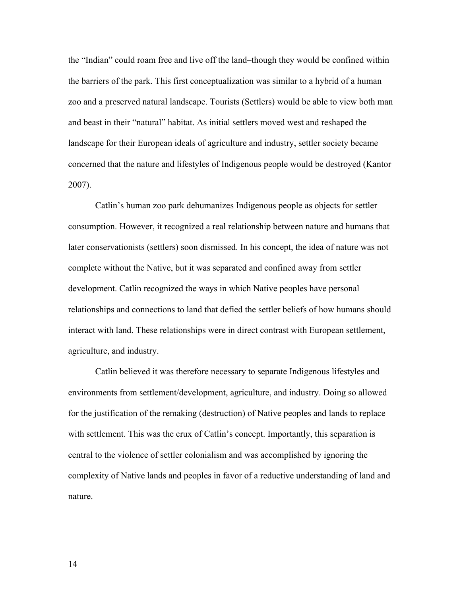the "Indian" could roam free and live off the land–though they would be confined within the barriers of the park. This first conceptualization was similar to a hybrid of a human zoo and a preserved natural landscape. Tourists (Settlers) would be able to view both man and beast in their "natural" habitat. As initial settlers moved west and reshaped the landscape for their European ideals of agriculture and industry, settler society became concerned that the nature and lifestyles of Indigenous people would be destroyed (Kantor 2007).

Catlin's human zoo park dehumanizes Indigenous people as objects for settler consumption. However, it recognized a real relationship between nature and humans that later conservationists (settlers) soon dismissed. In his concept, the idea of nature was not complete without the Native, but it was separated and confined away from settler development. Catlin recognized the ways in which Native peoples have personal relationships and connections to land that defied the settler beliefs of how humans should interact with land. These relationships were in direct contrast with European settlement, agriculture, and industry.

Catlin believed it was therefore necessary to separate Indigenous lifestyles and environments from settlement/development, agriculture, and industry. Doing so allowed for the justification of the remaking (destruction) of Native peoples and lands to replace with settlement. This was the crux of Catlin's concept. Importantly, this separation is central to the violence of settler colonialism and was accomplished by ignoring the complexity of Native lands and peoples in favor of a reductive understanding of land and nature.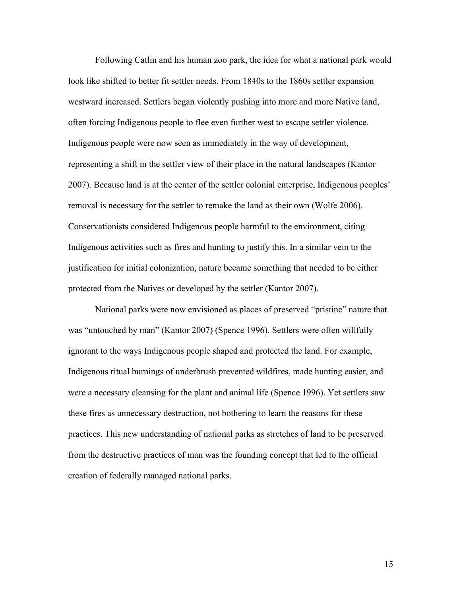Following Catlin and his human zoo park, the idea for what a national park would look like shifted to better fit settler needs. From 1840s to the 1860s settler expansion westward increased. Settlers began violently pushing into more and more Native land, often forcing Indigenous people to flee even further west to escape settler violence. Indigenous people were now seen as immediately in the way of development, representing a shift in the settler view of their place in the natural landscapes (Kantor 2007). Because land is at the center of the settler colonial enterprise, Indigenous peoples' removal is necessary for the settler to remake the land as their own (Wolfe 2006). Conservationists considered Indigenous people harmful to the environment, citing Indigenous activities such as fires and hunting to justify this. In a similar vein to the justification for initial colonization, nature became something that needed to be either protected from the Natives or developed by the settler (Kantor 2007).

National parks were now envisioned as places of preserved "pristine" nature that was "untouched by man" (Kantor 2007) (Spence 1996). Settlers were often willfully ignorant to the ways Indigenous people shaped and protected the land. For example, Indigenous ritual burnings of underbrush prevented wildfires, made hunting easier, and were a necessary cleansing for the plant and animal life (Spence 1996). Yet settlers saw these fires as unnecessary destruction, not bothering to learn the reasons for these practices. This new understanding of national parks as stretches of land to be preserved from the destructive practices of man was the founding concept that led to the official creation of federally managed national parks.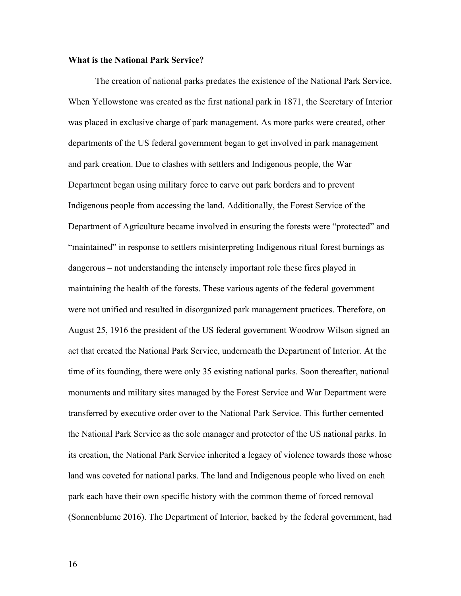### **What is the National Park Service?**

The creation of national parks predates the existence of the National Park Service. When Yellowstone was created as the first national park in 1871, the Secretary of Interior was placed in exclusive charge of park management. As more parks were created, other departments of the US federal government began to get involved in park management and park creation. Due to clashes with settlers and Indigenous people, the War Department began using military force to carve out park borders and to prevent Indigenous people from accessing the land. Additionally, the Forest Service of the Department of Agriculture became involved in ensuring the forests were "protected" and "maintained" in response to settlers misinterpreting Indigenous ritual forest burnings as dangerous – not understanding the intensely important role these fires played in maintaining the health of the forests. These various agents of the federal government were not unified and resulted in disorganized park management practices. Therefore, on August 25, 1916 the president of the US federal government Woodrow Wilson signed an act that created the National Park Service, underneath the Department of Interior. At the time of its founding, there were only 35 existing national parks. Soon thereafter, national monuments and military sites managed by the Forest Service and War Department were transferred by executive order over to the National Park Service. This further cemented the National Park Service as the sole manager and protector of the US national parks. In its creation, the National Park Service inherited a legacy of violence towards those whose land was coveted for national parks. The land and Indigenous people who lived on each park each have their own specific history with the common theme of forced removal (Sonnenblume 2016). The Department of Interior, backed by the federal government, had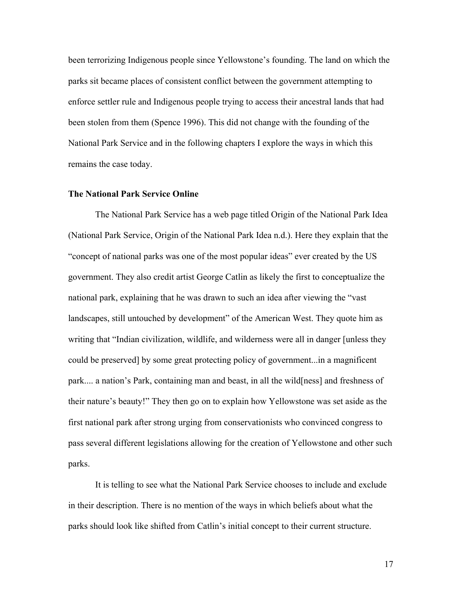been terrorizing Indigenous people since Yellowstone's founding. The land on which the parks sit became places of consistent conflict between the government attempting to enforce settler rule and Indigenous people trying to access their ancestral lands that had been stolen from them (Spence 1996). This did not change with the founding of the National Park Service and in the following chapters I explore the ways in which this remains the case today.

### **The National Park Service Online**

The National Park Service has a web page titled Origin of the National Park Idea (National Park Service, Origin of the National Park Idea n.d.). Here they explain that the "concept of national parks was one of the most popular ideas" ever created by the US government. They also credit artist George Catlin as likely the first to conceptualize the national park, explaining that he was drawn to such an idea after viewing the "vast landscapes, still untouched by development" of the American West. They quote him as writing that "Indian civilization, wildlife, and wilderness were all in danger [unless they could be preserved] by some great protecting policy of government...in a magnificent park.... a nation's Park, containing man and beast, in all the wild[ness] and freshness of their nature's beauty!" They then go on to explain how Yellowstone was set aside as the first national park after strong urging from conservationists who convinced congress to pass several different legislations allowing for the creation of Yellowstone and other such parks.

It is telling to see what the National Park Service chooses to include and exclude in their description. There is no mention of the ways in which beliefs about what the parks should look like shifted from Catlin's initial concept to their current structure.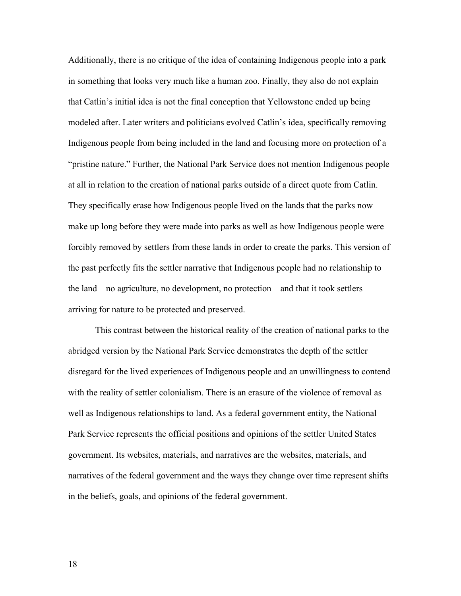Additionally, there is no critique of the idea of containing Indigenous people into a park in something that looks very much like a human zoo. Finally, they also do not explain that Catlin's initial idea is not the final conception that Yellowstone ended up being modeled after. Later writers and politicians evolved Catlin's idea, specifically removing Indigenous people from being included in the land and focusing more on protection of a "pristine nature." Further, the National Park Service does not mention Indigenous people at all in relation to the creation of national parks outside of a direct quote from Catlin. They specifically erase how Indigenous people lived on the lands that the parks now make up long before they were made into parks as well as how Indigenous people were forcibly removed by settlers from these lands in order to create the parks. This version of the past perfectly fits the settler narrative that Indigenous people had no relationship to the land – no agriculture, no development, no protection – and that it took settlers arriving for nature to be protected and preserved.

This contrast between the historical reality of the creation of national parks to the abridged version by the National Park Service demonstrates the depth of the settler disregard for the lived experiences of Indigenous people and an unwillingness to contend with the reality of settler colonialism. There is an erasure of the violence of removal as well as Indigenous relationships to land. As a federal government entity, the National Park Service represents the official positions and opinions of the settler United States government. Its websites, materials, and narratives are the websites, materials, and narratives of the federal government and the ways they change over time represent shifts in the beliefs, goals, and opinions of the federal government.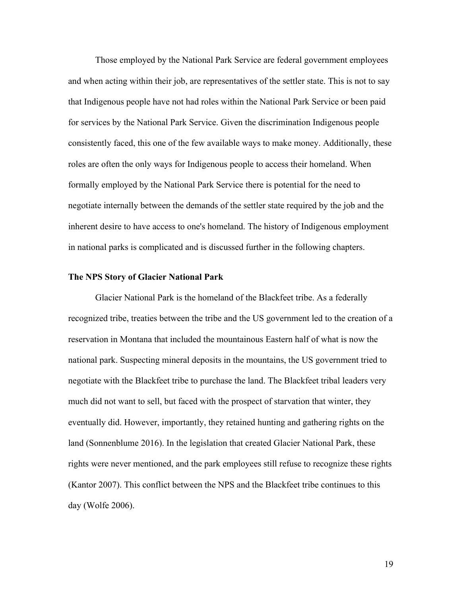Those employed by the National Park Service are federal government employees and when acting within their job, are representatives of the settler state. This is not to say that Indigenous people have not had roles within the National Park Service or been paid for services by the National Park Service. Given the discrimination Indigenous people consistently faced, this one of the few available ways to make money. Additionally, these roles are often the only ways for Indigenous people to access their homeland. When formally employed by the National Park Service there is potential for the need to negotiate internally between the demands of the settler state required by the job and the inherent desire to have access to one's homeland. The history of Indigenous employment in national parks is complicated and is discussed further in the following chapters.

### **The NPS Story of Glacier National Park**

Glacier National Park is the homeland of the Blackfeet tribe. As a federally recognized tribe, treaties between the tribe and the US government led to the creation of a reservation in Montana that included the mountainous Eastern half of what is now the national park. Suspecting mineral deposits in the mountains, the US government tried to negotiate with the Blackfeet tribe to purchase the land. The Blackfeet tribal leaders very much did not want to sell, but faced with the prospect of starvation that winter, they eventually did. However, importantly, they retained hunting and gathering rights on the land (Sonnenblume 2016). In the legislation that created Glacier National Park, these rights were never mentioned, and the park employees still refuse to recognize these rights (Kantor 2007). This conflict between the NPS and the Blackfeet tribe continues to this day (Wolfe 2006).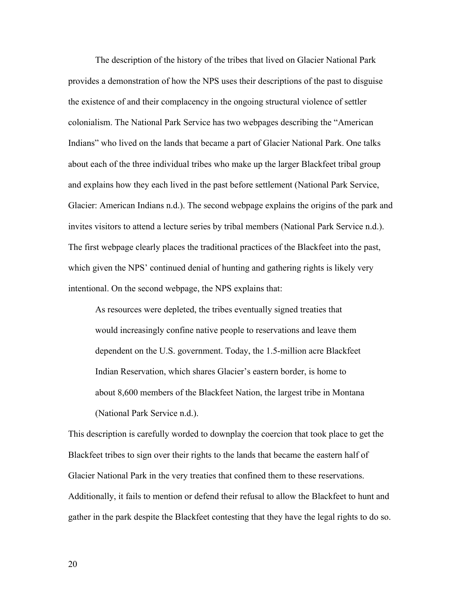The description of the history of the tribes that lived on Glacier National Park provides a demonstration of how the NPS uses their descriptions of the past to disguise the existence of and their complacency in the ongoing structural violence of settler colonialism. The National Park Service has two webpages describing the "American Indians" who lived on the lands that became a part of Glacier National Park. One talks about each of the three individual tribes who make up the larger Blackfeet tribal group and explains how they each lived in the past before settlement (National Park Service, Glacier: American Indians n.d.). The second webpage explains the origins of the park and invites visitors to attend a lecture series by tribal members (National Park Service n.d.). The first webpage clearly places the traditional practices of the Blackfeet into the past, which given the NPS' continued denial of hunting and gathering rights is likely very intentional. On the second webpage, the NPS explains that:

As resources were depleted, the tribes eventually signed treaties that would increasingly confine native people to reservations and leave them dependent on the U.S. government. Today, the 1.5-million acre Blackfeet Indian Reservation, which shares Glacier's eastern border, is home to about 8,600 members of the Blackfeet Nation, the largest tribe in Montana (National Park Service n.d.).

This description is carefully worded to downplay the coercion that took place to get the Blackfeet tribes to sign over their rights to the lands that became the eastern half of Glacier National Park in the very treaties that confined them to these reservations. Additionally, it fails to mention or defend their refusal to allow the Blackfeet to hunt and gather in the park despite the Blackfeet contesting that they have the legal rights to do so.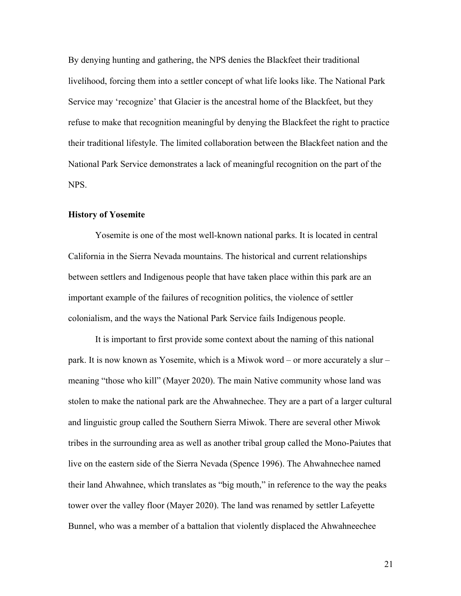By denying hunting and gathering, the NPS denies the Blackfeet their traditional livelihood, forcing them into a settler concept of what life looks like. The National Park Service may 'recognize' that Glacier is the ancestral home of the Blackfeet, but they refuse to make that recognition meaningful by denying the Blackfeet the right to practice their traditional lifestyle. The limited collaboration between the Blackfeet nation and the National Park Service demonstrates a lack of meaningful recognition on the part of the NPS.

#### **History of Yosemite**

Yosemite is one of the most well-known national parks. It is located in central California in the Sierra Nevada mountains. The historical and current relationships between settlers and Indigenous people that have taken place within this park are an important example of the failures of recognition politics, the violence of settler colonialism, and the ways the National Park Service fails Indigenous people.

It is important to first provide some context about the naming of this national park. It is now known as Yosemite, which is a Miwok word – or more accurately a slur – meaning "those who kill" (Mayer 2020). The main Native community whose land was stolen to make the national park are the Ahwahnechee. They are a part of a larger cultural and linguistic group called the Southern Sierra Miwok. There are several other Miwok tribes in the surrounding area as well as another tribal group called the Mono-Paiutes that live on the eastern side of the Sierra Nevada (Spence 1996). The Ahwahnechee named their land Ahwahnee, which translates as "big mouth," in reference to the way the peaks tower over the valley floor (Mayer 2020). The land was renamed by settler Lafeyette Bunnel, who was a member of a battalion that violently displaced the Ahwahneechee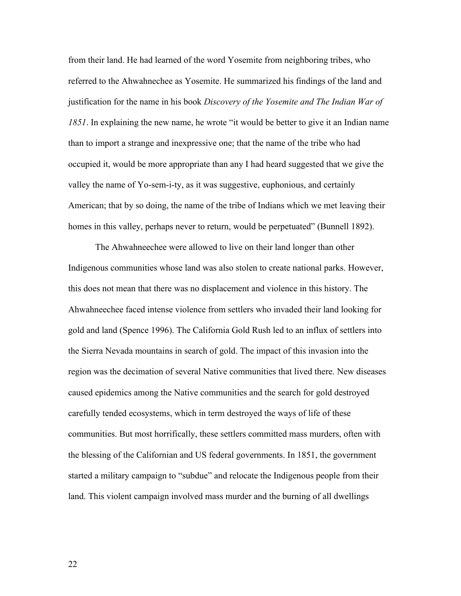from their land. He had learned of the word Yosemite from neighboring tribes, who referred to the Ahwahnechee as Yosemite. He summarized his findings of the land and justification for the name in his book *Discovery of the Yosemite and The Indian War of 1851*. In explaining the new name, he wrote "it would be better to give it an Indian name than to import a strange and inexpressive one; that the name of the tribe who had occupied it, would be more appropriate than any I had heard suggested that we give the valley the name of Yo-sem-i-ty, as it was suggestive, euphonious, and certainly American; that by so doing, the name of the tribe of Indians which we met leaving their homes in this valley, perhaps never to return, would be perpetuated" (Bunnell 1892).

The Ahwahneechee were allowed to live on their land longer than other Indigenous communities whose land was also stolen to create national parks. However, this does not mean that there was no displacement and violence in this history. The Ahwahneechee faced intense violence from settlers who invaded their land looking for gold and land (Spence 1996). The California Gold Rush led to an influx of settlers into the Sierra Nevada mountains in search of gold. The impact of this invasion into the region was the decimation of several Native communities that lived there. New diseases caused epidemics among the Native communities and the search for gold destroyed carefully tended ecosystems, which in term destroyed the ways of life of these communities. But most horrifically, these settlers committed mass murders, often with the blessing of the Californian and US federal governments. In 1851, the government started a military campaign to "subdue" and relocate the Indigenous people from their land. This violent campaign involved mass murder and the burning of all dwellings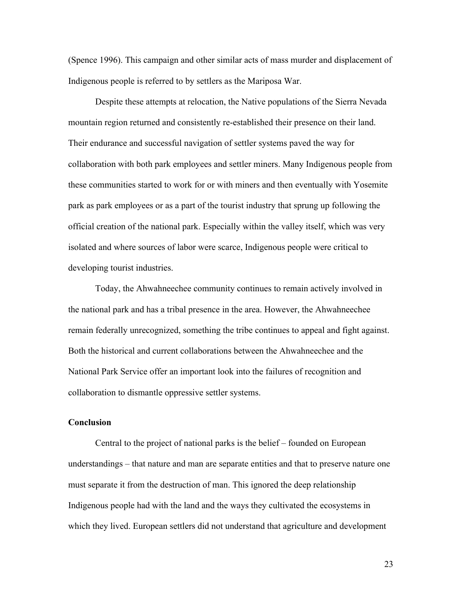(Spence 1996). This campaign and other similar acts of mass murder and displacement of Indigenous people is referred to by settlers as the Mariposa War.

Despite these attempts at relocation, the Native populations of the Sierra Nevada mountain region returned and consistently re-established their presence on their land. Their endurance and successful navigation of settler systems paved the way for collaboration with both park employees and settler miners. Many Indigenous people from these communities started to work for or with miners and then eventually with Yosemite park as park employees or as a part of the tourist industry that sprung up following the official creation of the national park. Especially within the valley itself, which was very isolated and where sources of labor were scarce, Indigenous people were critical to developing tourist industries.

Today, the Ahwahneechee community continues to remain actively involved in the national park and has a tribal presence in the area. However, the Ahwahneechee remain federally unrecognized, something the tribe continues to appeal and fight against. Both the historical and current collaborations between the Ahwahneechee and the National Park Service offer an important look into the failures of recognition and collaboration to dismantle oppressive settler systems.

# **Conclusion**

Central to the project of national parks is the belief – founded on European understandings – that nature and man are separate entities and that to preserve nature one must separate it from the destruction of man. This ignored the deep relationship Indigenous people had with the land and the ways they cultivated the ecosystems in which they lived. European settlers did not understand that agriculture and development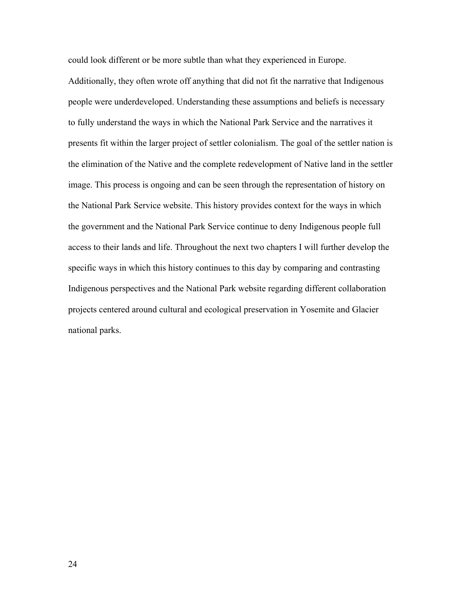could look different or be more subtle than what they experienced in Europe. Additionally, they often wrote off anything that did not fit the narrative that Indigenous people were underdeveloped. Understanding these assumptions and beliefs is necessary to fully understand the ways in which the National Park Service and the narratives it presents fit within the larger project of settler colonialism. The goal of the settler nation is the elimination of the Native and the complete redevelopment of Native land in the settler image. This process is ongoing and can be seen through the representation of history on the National Park Service website. This history provides context for the ways in which the government and the National Park Service continue to deny Indigenous people full access to their lands and life. Throughout the next two chapters I will further develop the specific ways in which this history continues to this day by comparing and contrasting Indigenous perspectives and the National Park website regarding different collaboration projects centered around cultural and ecological preservation in Yosemite and Glacier national parks.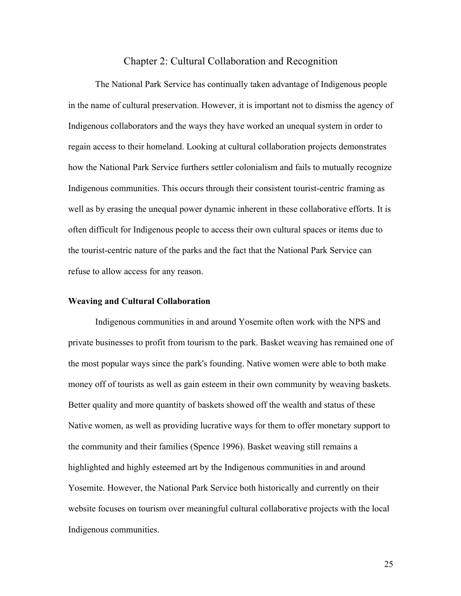# Chapter 2: Cultural Collaboration and Recognition

The National Park Service has continually taken advantage of Indigenous people in the name of cultural preservation. However, it is important not to dismiss the agency of Indigenous collaborators and the ways they have worked an unequal system in order to regain access to their homeland. Looking at cultural collaboration projects demonstrates how the National Park Service furthers settler colonialism and fails to mutually recognize Indigenous communities. This occurs through their consistent tourist-centric framing as well as by erasing the unequal power dynamic inherent in these collaborative efforts. It is often difficult for Indigenous people to access their own cultural spaces or items due to the tourist-centric nature of the parks and the fact that the National Park Service can refuse to allow access for any reason.

#### **Weaving and Cultural Collaboration**

Indigenous communities in and around Yosemite often work with the NPS and private businesses to profit from tourism to the park. Basket weaving has remained one of the most popular ways since the park's founding. Native women were able to both make money off of tourists as well as gain esteem in their own community by weaving baskets. Better quality and more quantity of baskets showed off the wealth and status of these Native women, as well as providing lucrative ways for them to offer monetary support to the community and their families (Spence 1996). Basket weaving still remains a highlighted and highly esteemed art by the Indigenous communities in and around Yosemite. However, the National Park Service both historically and currently on their website focuses on tourism over meaningful cultural collaborative projects with the local Indigenous communities.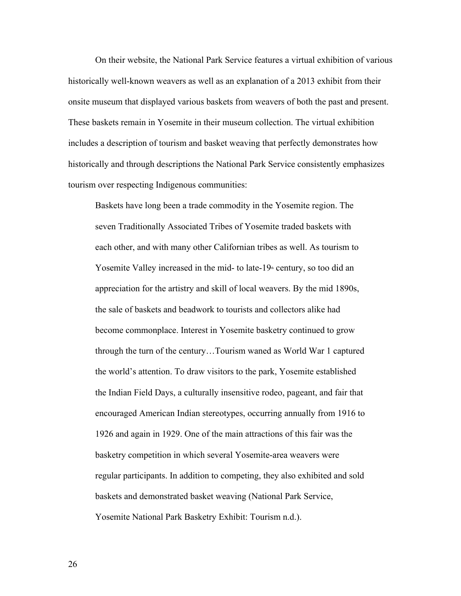On their website, the National Park Service features a virtual exhibition of various historically well-known weavers as well as an explanation of a 2013 exhibit from their onsite museum that displayed various baskets from weavers of both the past and present. These baskets remain in Yosemite in their museum collection. The virtual exhibition includes a description of tourism and basket weaving that perfectly demonstrates how historically and through descriptions the National Park Service consistently emphasizes tourism over respecting Indigenous communities:

Baskets have long been a trade commodity in the Yosemite region. The seven Traditionally Associated Tribes of Yosemite traded baskets with each other, and with many other Californian tribes as well. As tourism to Yosemite Valley increased in the mid- to late- $19<sup>th</sup>$  century, so too did an appreciation for the artistry and skill of local weavers. By the mid 1890s, the sale of baskets and beadwork to tourists and collectors alike had become commonplace. Interest in Yosemite basketry continued to grow through the turn of the century…Tourism waned as World War 1 captured the world's attention. To draw visitors to the park, Yosemite established the Indian Field Days, a culturally insensitive rodeo, pageant, and fair that encouraged American Indian stereotypes, occurring annually from 1916 to 1926 and again in 1929. One of the main attractions of this fair was the basketry competition in which several Yosemite-area weavers were regular participants. In addition to competing, they also exhibited and sold baskets and demonstrated basket weaving (National Park Service, Yosemite National Park Basketry Exhibit: Tourism n.d.).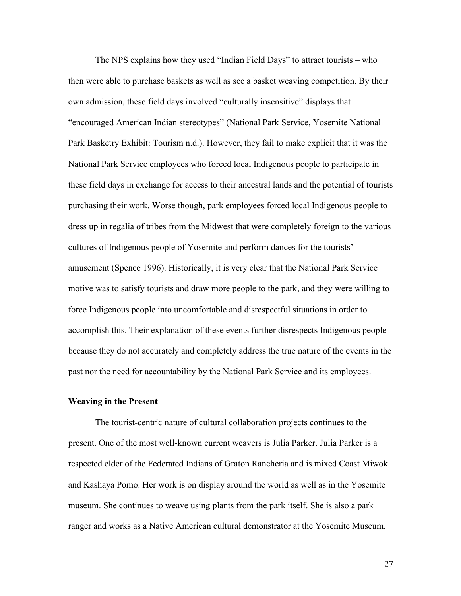The NPS explains how they used "Indian Field Days" to attract tourists – who then were able to purchase baskets as well as see a basket weaving competition. By their own admission, these field days involved "culturally insensitive" displays that "encouraged American Indian stereotypes" (National Park Service, Yosemite National Park Basketry Exhibit: Tourism n.d.). However, they fail to make explicit that it was the National Park Service employees who forced local Indigenous people to participate in these field days in exchange for access to their ancestral lands and the potential of tourists purchasing their work. Worse though, park employees forced local Indigenous people to dress up in regalia of tribes from the Midwest that were completely foreign to the various cultures of Indigenous people of Yosemite and perform dances for the tourists' amusement (Spence 1996). Historically, it is very clear that the National Park Service motive was to satisfy tourists and draw more people to the park, and they were willing to force Indigenous people into uncomfortable and disrespectful situations in order to accomplish this. Their explanation of these events further disrespects Indigenous people because they do not accurately and completely address the true nature of the events in the past nor the need for accountability by the National Park Service and its employees.

### **Weaving in the Present**

The tourist-centric nature of cultural collaboration projects continues to the present. One of the most well-known current weavers is Julia Parker. Julia Parker is a respected elder of the Federated Indians of Graton Rancheria and is mixed Coast Miwok and Kashaya Pomo. Her work is on display around the world as well as in the Yosemite museum. She continues to weave using plants from the park itself. She is also a park ranger and works as a Native American cultural demonstrator at the Yosemite Museum.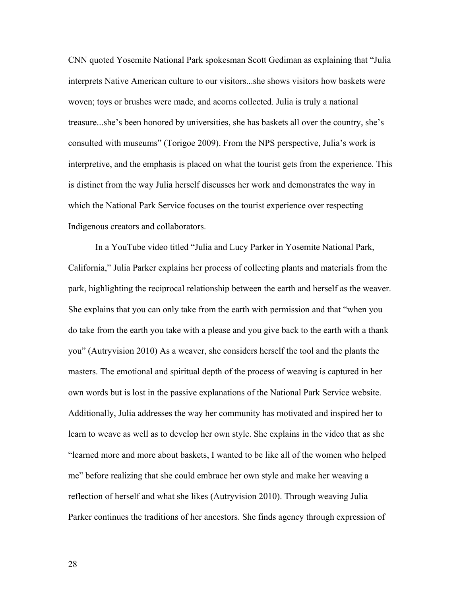CNN quoted Yosemite National Park spokesman Scott Gediman as explaining that "Julia interprets Native American culture to our visitors...she shows visitors how baskets were woven; toys or brushes were made, and acorns collected. Julia is truly a national treasure...she's been honored by universities, she has baskets all over the country, she's consulted with museums" (Torigoe 2009). From the NPS perspective, Julia's work is interpretive, and the emphasis is placed on what the tourist gets from the experience. This is distinct from the way Julia herself discusses her work and demonstrates the way in which the National Park Service focuses on the tourist experience over respecting Indigenous creators and collaborators.

In a YouTube video titled "Julia and Lucy Parker in Yosemite National Park, California," Julia Parker explains her process of collecting plants and materials from the park, highlighting the reciprocal relationship between the earth and herself as the weaver. She explains that you can only take from the earth with permission and that "when you do take from the earth you take with a please and you give back to the earth with a thank you" (Autryvision 2010) As a weaver, she considers herself the tool and the plants the masters. The emotional and spiritual depth of the process of weaving is captured in her own words but is lost in the passive explanations of the National Park Service website. Additionally, Julia addresses the way her community has motivated and inspired her to learn to weave as well as to develop her own style. She explains in the video that as she "learned more and more about baskets, I wanted to be like all of the women who helped me" before realizing that she could embrace her own style and make her weaving a reflection of herself and what she likes (Autryvision 2010). Through weaving Julia Parker continues the traditions of her ancestors. She finds agency through expression of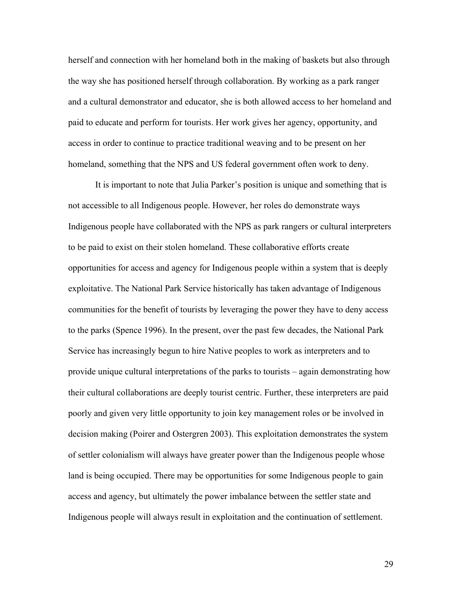herself and connection with her homeland both in the making of baskets but also through the way she has positioned herself through collaboration. By working as a park ranger and a cultural demonstrator and educator, she is both allowed access to her homeland and paid to educate and perform for tourists. Her work gives her agency, opportunity, and access in order to continue to practice traditional weaving and to be present on her homeland, something that the NPS and US federal government often work to deny.

It is important to note that Julia Parker's position is unique and something that is not accessible to all Indigenous people. However, her roles do demonstrate ways Indigenous people have collaborated with the NPS as park rangers or cultural interpreters to be paid to exist on their stolen homeland. These collaborative efforts create opportunities for access and agency for Indigenous people within a system that is deeply exploitative. The National Park Service historically has taken advantage of Indigenous communities for the benefit of tourists by leveraging the power they have to deny access to the parks (Spence 1996). In the present, over the past few decades, the National Park Service has increasingly begun to hire Native peoples to work as interpreters and to provide unique cultural interpretations of the parks to tourists – again demonstrating how their cultural collaborations are deeply tourist centric. Further, these interpreters are paid poorly and given very little opportunity to join key management roles or be involved in decision making (Poirer and Ostergren 2003). This exploitation demonstrates the system of settler colonialism will always have greater power than the Indigenous people whose land is being occupied. There may be opportunities for some Indigenous people to gain access and agency, but ultimately the power imbalance between the settler state and Indigenous people will always result in exploitation and the continuation of settlement.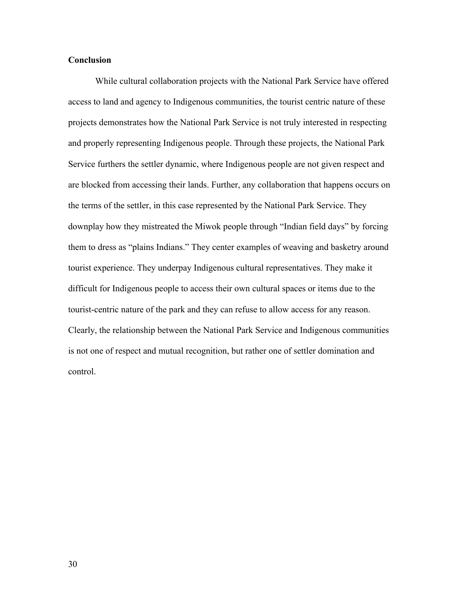## **Conclusion**

While cultural collaboration projects with the National Park Service have offered access to land and agency to Indigenous communities, the tourist centric nature of these projects demonstrates how the National Park Service is not truly interested in respecting and properly representing Indigenous people. Through these projects, the National Park Service furthers the settler dynamic, where Indigenous people are not given respect and are blocked from accessing their lands. Further, any collaboration that happens occurs on the terms of the settler, in this case represented by the National Park Service. They downplay how they mistreated the Miwok people through "Indian field days" by forcing them to dress as "plains Indians." They center examples of weaving and basketry around tourist experience. They underpay Indigenous cultural representatives. They make it difficult for Indigenous people to access their own cultural spaces or items due to the tourist-centric nature of the park and they can refuse to allow access for any reason. Clearly, the relationship between the National Park Service and Indigenous communities is not one of respect and mutual recognition, but rather one of settler domination and control.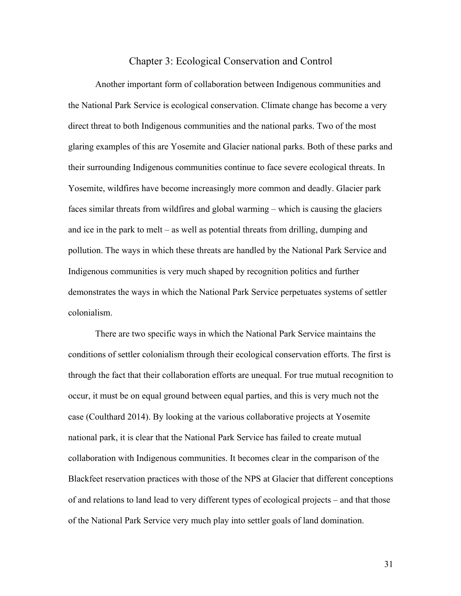# Chapter 3: Ecological Conservation and Control

Another important form of collaboration between Indigenous communities and the National Park Service is ecological conservation. Climate change has become a very direct threat to both Indigenous communities and the national parks. Two of the most glaring examples of this are Yosemite and Glacier national parks. Both of these parks and their surrounding Indigenous communities continue to face severe ecological threats. In Yosemite, wildfires have become increasingly more common and deadly. Glacier park faces similar threats from wildfires and global warming – which is causing the glaciers and ice in the park to melt – as well as potential threats from drilling, dumping and pollution. The ways in which these threats are handled by the National Park Service and Indigenous communities is very much shaped by recognition politics and further demonstrates the ways in which the National Park Service perpetuates systems of settler colonialism.

There are two specific ways in which the National Park Service maintains the conditions of settler colonialism through their ecological conservation efforts. The first is through the fact that their collaboration efforts are unequal. For true mutual recognition to occur, it must be on equal ground between equal parties, and this is very much not the case (Coulthard 2014). By looking at the various collaborative projects at Yosemite national park, it is clear that the National Park Service has failed to create mutual collaboration with Indigenous communities. It becomes clear in the comparison of the Blackfeet reservation practices with those of the NPS at Glacier that different conceptions of and relations to land lead to very different types of ecological projects – and that those of the National Park Service very much play into settler goals of land domination.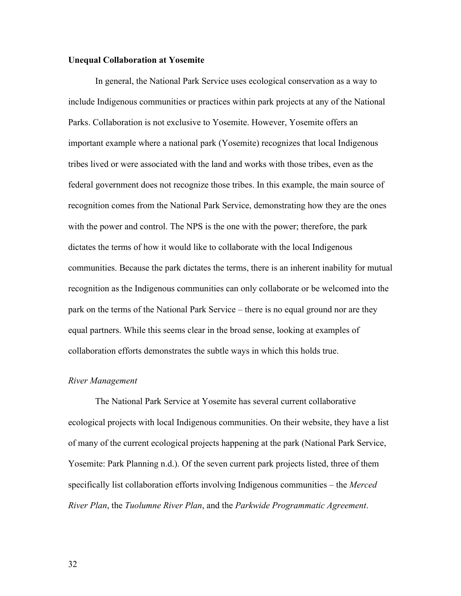### **Unequal Collaboration at Yosemite**

In general, the National Park Service uses ecological conservation as a way to include Indigenous communities or practices within park projects at any of the National Parks. Collaboration is not exclusive to Yosemite. However, Yosemite offers an important example where a national park (Yosemite) recognizes that local Indigenous tribes lived or were associated with the land and works with those tribes, even as the federal government does not recognize those tribes. In this example, the main source of recognition comes from the National Park Service, demonstrating how they are the ones with the power and control. The NPS is the one with the power; therefore, the park dictates the terms of how it would like to collaborate with the local Indigenous communities. Because the park dictates the terms, there is an inherent inability for mutual recognition as the Indigenous communities can only collaborate or be welcomed into the park on the terms of the National Park Service – there is no equal ground nor are they equal partners. While this seems clear in the broad sense, looking at examples of collaboration efforts demonstrates the subtle ways in which this holds true.

### *River Management*

The National Park Service at Yosemite has several current collaborative ecological projects with local Indigenous communities. On their website, they have a list of many of the current ecological projects happening at the park (National Park Service, Yosemite: Park Planning n.d.). Of the seven current park projects listed, three of them specifically list collaboration efforts involving Indigenous communities – the *Merced River Plan*, the *Tuolumne River Plan*, and the *Parkwide Programmatic Agreement*.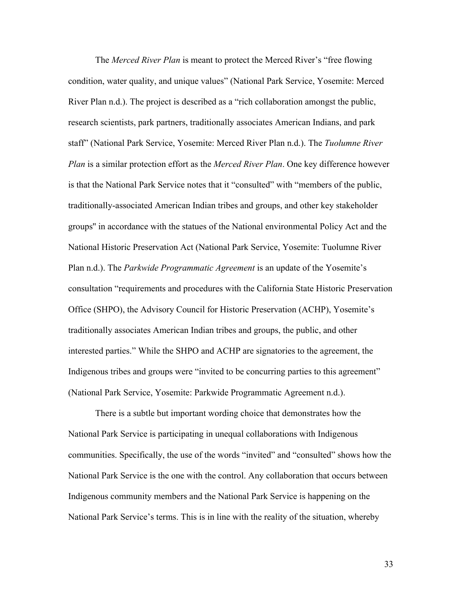The *Merced River Plan* is meant to protect the Merced River's "free flowing condition, water quality, and unique values" (National Park Service, Yosemite: Merced River Plan n.d.). The project is described as a "rich collaboration amongst the public, research scientists, park partners, traditionally associates American Indians, and park staff" (National Park Service, Yosemite: Merced River Plan n.d.). The *Tuolumne River Plan* is a similar protection effort as the *Merced River Plan*. One key difference however is that the National Park Service notes that it "consulted" with "members of the public, traditionally-associated American Indian tribes and groups, and other key stakeholder groups'' in accordance with the statues of the National environmental Policy Act and the National Historic Preservation Act (National Park Service, Yosemite: Tuolumne River Plan n.d.). The *Parkwide Programmatic Agreement* is an update of the Yosemite's consultation "requirements and procedures with the California State Historic Preservation Office (SHPO), the Advisory Council for Historic Preservation (ACHP), Yosemite's traditionally associates American Indian tribes and groups, the public, and other interested parties." While the SHPO and ACHP are signatories to the agreement, the Indigenous tribes and groups were "invited to be concurring parties to this agreement" (National Park Service, Yosemite: Parkwide Programmatic Agreement n.d.).

There is a subtle but important wording choice that demonstrates how the National Park Service is participating in unequal collaborations with Indigenous communities. Specifically, the use of the words "invited" and "consulted" shows how the National Park Service is the one with the control. Any collaboration that occurs between Indigenous community members and the National Park Service is happening on the National Park Service's terms. This is in line with the reality of the situation, whereby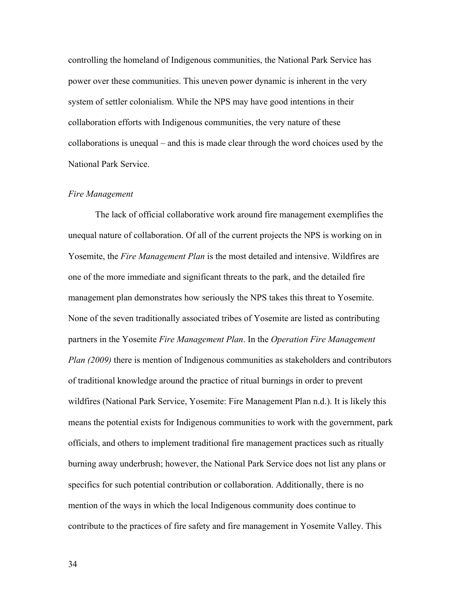controlling the homeland of Indigenous communities, the National Park Service has power over these communities. This uneven power dynamic is inherent in the very system of settler colonialism. While the NPS may have good intentions in their collaboration efforts with Indigenous communities, the very nature of these collaborations is unequal – and this is made clear through the word choices used by the National Park Service.

### *Fire Management*

The lack of official collaborative work around fire management exemplifies the unequal nature of collaboration. Of all of the current projects the NPS is working on in Yosemite, the *Fire Management Plan* is the most detailed and intensive. Wildfires are one of the more immediate and significant threats to the park, and the detailed fire management plan demonstrates how seriously the NPS takes this threat to Yosemite. None of the seven traditionally associated tribes of Yosemite are listed as contributing partners in the Yosemite *Fire Management Plan*. In the *Operation Fire Management Plan (2009)* there is mention of Indigenous communities as stakeholders and contributors of traditional knowledge around the practice of ritual burnings in order to prevent wildfires (National Park Service, Yosemite: Fire Management Plan n.d.). It is likely this means the potential exists for Indigenous communities to work with the government, park officials, and others to implement traditional fire management practices such as ritually burning away underbrush; however, the National Park Service does not list any plans or specifics for such potential contribution or collaboration. Additionally, there is no mention of the ways in which the local Indigenous community does continue to contribute to the practices of fire safety and fire management in Yosemite Valley. This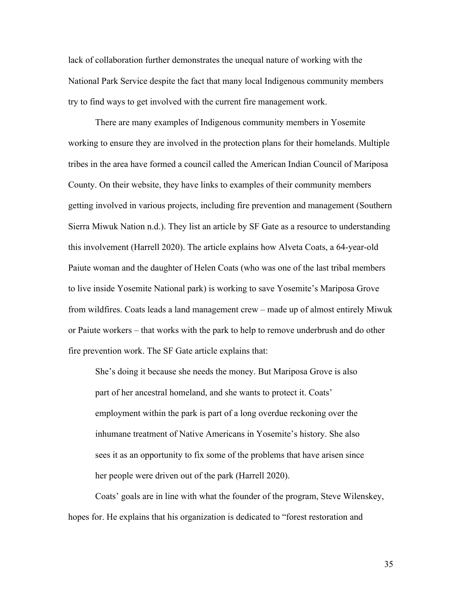lack of collaboration further demonstrates the unequal nature of working with the National Park Service despite the fact that many local Indigenous community members try to find ways to get involved with the current fire management work.

There are many examples of Indigenous community members in Yosemite working to ensure they are involved in the protection plans for their homelands. Multiple tribes in the area have formed a council called the American Indian Council of Mariposa County. On their website, they have links to examples of their community members getting involved in various projects, including fire prevention and management (Southern Sierra Miwuk Nation n.d.). They list an article by SF Gate as a resource to understanding this involvement (Harrell 2020). The article explains how Alveta Coats, a 64-year-old Paiute woman and the daughter of Helen Coats (who was one of the last tribal members to live inside Yosemite National park) is working to save Yosemite's Mariposa Grove from wildfires. Coats leads a land management crew – made up of almost entirely Miwuk or Paiute workers – that works with the park to help to remove underbrush and do other fire prevention work. The SF Gate article explains that:

She's doing it because she needs the money. But Mariposa Grove is also part of her ancestral homeland, and she wants to protect it. Coats' employment within the park is part of a long overdue reckoning over the inhumane treatment of Native Americans in Yosemite's history. She also sees it as an opportunity to fix some of the problems that have arisen since her people were driven out of the park (Harrell 2020).

Coats' goals are in line with what the founder of the program, Steve Wilenskey, hopes for. He explains that his organization is dedicated to "forest restoration and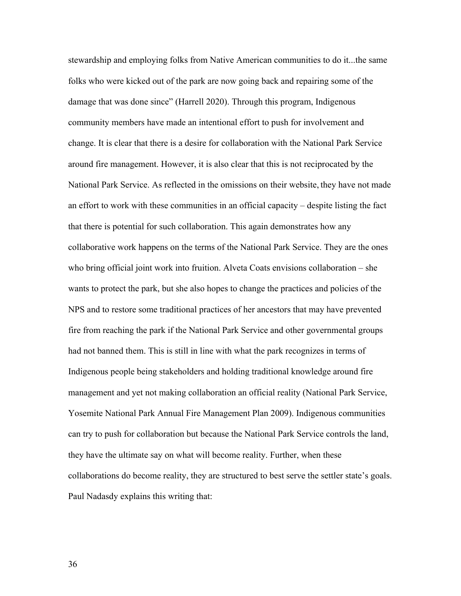stewardship and employing folks from Native American communities to do it...the same folks who were kicked out of the park are now going back and repairing some of the damage that was done since" (Harrell 2020). Through this program, Indigenous community members have made an intentional effort to push for involvement and change. It is clear that there is a desire for collaboration with the National Park Service around fire management. However, it is also clear that this is not reciprocated by the National Park Service. As reflected in the omissions on their website, they have not made an effort to work with these communities in an official capacity – despite listing the fact that there is potential for such collaboration. This again demonstrates how any collaborative work happens on the terms of the National Park Service. They are the ones who bring official joint work into fruition. Alveta Coats envisions collaboration – she wants to protect the park, but she also hopes to change the practices and policies of the NPS and to restore some traditional practices of her ancestors that may have prevented fire from reaching the park if the National Park Service and other governmental groups had not banned them. This is still in line with what the park recognizes in terms of Indigenous people being stakeholders and holding traditional knowledge around fire management and yet not making collaboration an official reality (National Park Service, Yosemite National Park Annual Fire Management Plan 2009). Indigenous communities can try to push for collaboration but because the National Park Service controls the land, they have the ultimate say on what will become reality. Further, when these collaborations do become reality, they are structured to best serve the settler state's goals. Paul Nadasdy explains this writing that: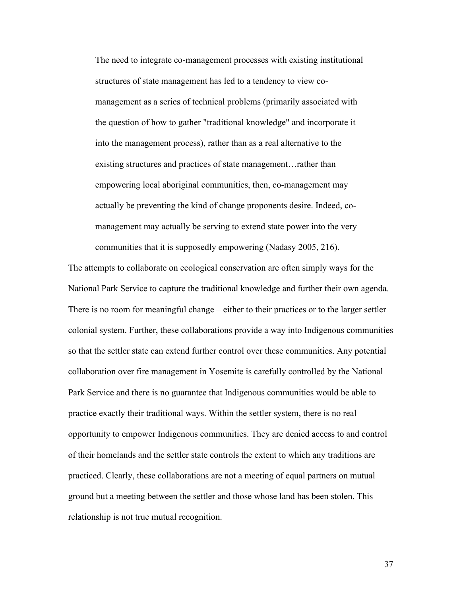The need to integrate co-management processes with existing institutional structures of state management has led to a tendency to view comanagement as a series of technical problems (primarily associated with the question of how to gather "traditional knowledge" and incorporate it into the management process), rather than as a real alternative to the existing structures and practices of state management…rather than empowering local aboriginal communities, then, co-management may actually be preventing the kind of change proponents desire. Indeed, comanagement may actually be serving to extend state power into the very communities that it is supposedly empowering (Nadasy 2005, 216).

The attempts to collaborate on ecological conservation are often simply ways for the National Park Service to capture the traditional knowledge and further their own agenda. There is no room for meaningful change – either to their practices or to the larger settler colonial system. Further, these collaborations provide a way into Indigenous communities so that the settler state can extend further control over these communities. Any potential collaboration over fire management in Yosemite is carefully controlled by the National Park Service and there is no guarantee that Indigenous communities would be able to practice exactly their traditional ways. Within the settler system, there is no real opportunity to empower Indigenous communities. They are denied access to and control of their homelands and the settler state controls the extent to which any traditions are practiced. Clearly, these collaborations are not a meeting of equal partners on mutual ground but a meeting between the settler and those whose land has been stolen. This relationship is not true mutual recognition.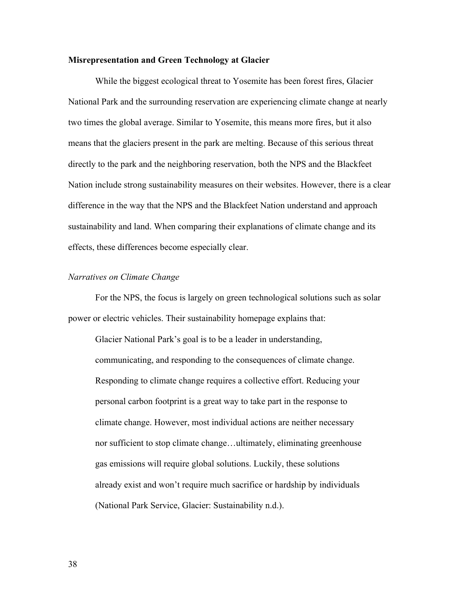### **Misrepresentation and Green Technology at Glacier**

While the biggest ecological threat to Yosemite has been forest fires, Glacier National Park and the surrounding reservation are experiencing climate change at nearly two times the global average. Similar to Yosemite, this means more fires, but it also means that the glaciers present in the park are melting. Because of this serious threat directly to the park and the neighboring reservation, both the NPS and the Blackfeet Nation include strong sustainability measures on their websites. However, there is a clear difference in the way that the NPS and the Blackfeet Nation understand and approach sustainability and land. When comparing their explanations of climate change and its effects, these differences become especially clear.

# *Narratives on Climate Change*

For the NPS, the focus is largely on green technological solutions such as solar power or electric vehicles. Their sustainability homepage explains that:

Glacier National Park's goal is to be a leader in understanding, communicating, and responding to the consequences of climate change. Responding to climate change requires a collective effort. Reducing your personal carbon footprint is a great way to take part in the response to climate change. However, most individual actions are neither necessary nor sufficient to stop climate change…ultimately, eliminating greenhouse gas emissions will require global solutions. Luckily, these solutions already exist and won't require much sacrifice or hardship by individuals (National Park Service, Glacier: Sustainability n.d.).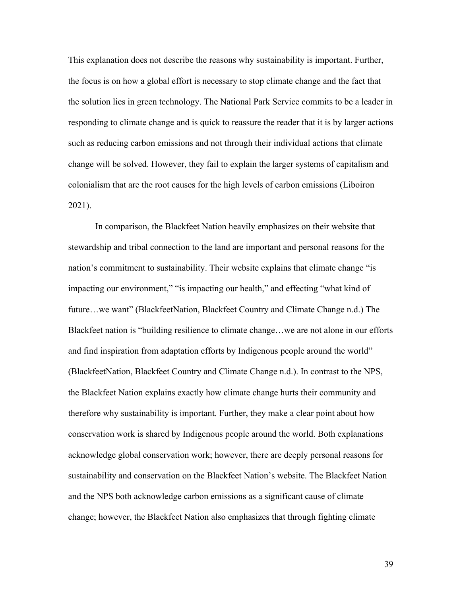This explanation does not describe the reasons why sustainability is important. Further, the focus is on how a global effort is necessary to stop climate change and the fact that the solution lies in green technology. The National Park Service commits to be a leader in responding to climate change and is quick to reassure the reader that it is by larger actions such as reducing carbon emissions and not through their individual actions that climate change will be solved. However, they fail to explain the larger systems of capitalism and colonialism that are the root causes for the high levels of carbon emissions (Liboiron 2021).

In comparison, the Blackfeet Nation heavily emphasizes on their website that stewardship and tribal connection to the land are important and personal reasons for the nation's commitment to sustainability. Their website explains that climate change "is impacting our environment," "is impacting our health," and effecting "what kind of future...we want" (BlackfeetNation, Blackfeet Country and Climate Change n.d.) The Blackfeet nation is "building resilience to climate change…we are not alone in our efforts and find inspiration from adaptation efforts by Indigenous people around the world" (BlackfeetNation, Blackfeet Country and Climate Change n.d.). In contrast to the NPS, the Blackfeet Nation explains exactly how climate change hurts their community and therefore why sustainability is important. Further, they make a clear point about how conservation work is shared by Indigenous people around the world. Both explanations acknowledge global conservation work; however, there are deeply personal reasons for sustainability and conservation on the Blackfeet Nation's website. The Blackfeet Nation and the NPS both acknowledge carbon emissions as a significant cause of climate change; however, the Blackfeet Nation also emphasizes that through fighting climate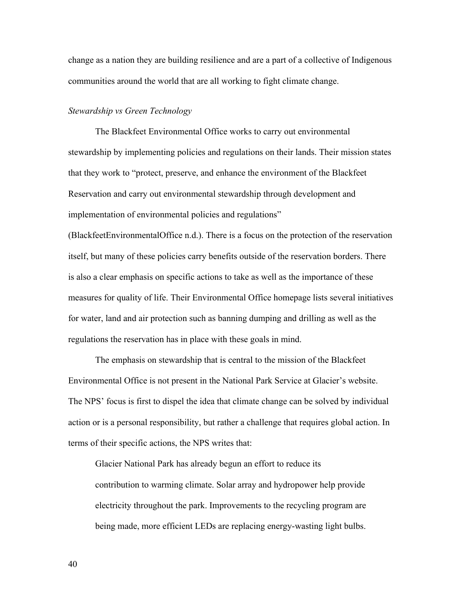change as a nation they are building resilience and are a part of a collective of Indigenous communities around the world that are all working to fight climate change.

#### *Stewardship vs Green Technology*

The Blackfeet Environmental Office works to carry out environmental stewardship by implementing policies and regulations on their lands. Their mission states that they work to "protect, preserve, and enhance the environment of the Blackfeet Reservation and carry out environmental stewardship through development and implementation of environmental policies and regulations"

(BlackfeetEnvironmentalOffice n.d.). There is a focus on the protection of the reservation itself, but many of these policies carry benefits outside of the reservation borders. There is also a clear emphasis on specific actions to take as well as the importance of these measures for quality of life. Their Environmental Office homepage lists several initiatives for water, land and air protection such as banning dumping and drilling as well as the regulations the reservation has in place with these goals in mind.

The emphasis on stewardship that is central to the mission of the Blackfeet Environmental Office is not present in the National Park Service at Glacier's website. The NPS' focus is first to dispel the idea that climate change can be solved by individual action or is a personal responsibility, but rather a challenge that requires global action. In terms of their specific actions, the NPS writes that:

Glacier National Park has already begun an effort to reduce its contribution to warming climate. Solar array and hydropower help provide electricity throughout the park. Improvements to the recycling program are being made, more efficient LEDs are replacing energy-wasting light bulbs.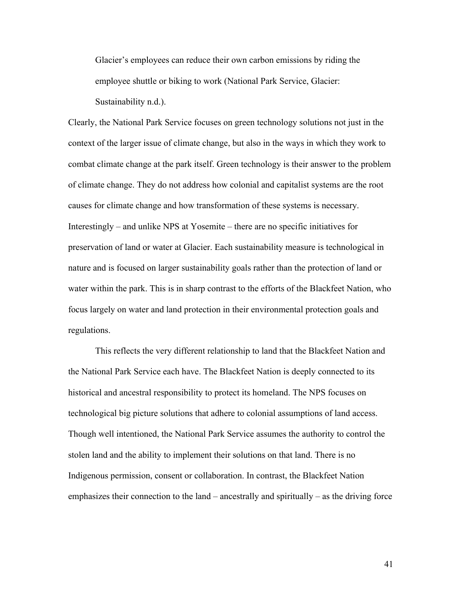Glacier's employees can reduce their own carbon emissions by riding the employee shuttle or biking to work (National Park Service, Glacier: Sustainability n.d.).

Clearly, the National Park Service focuses on green technology solutions not just in the context of the larger issue of climate change, but also in the ways in which they work to combat climate change at the park itself. Green technology is their answer to the problem of climate change. They do not address how colonial and capitalist systems are the root causes for climate change and how transformation of these systems is necessary. Interestingly – and unlike NPS at Yosemite – there are no specific initiatives for preservation of land or water at Glacier. Each sustainability measure is technological in nature and is focused on larger sustainability goals rather than the protection of land or water within the park. This is in sharp contrast to the efforts of the Blackfeet Nation, who focus largely on water and land protection in their environmental protection goals and regulations.

This reflects the very different relationship to land that the Blackfeet Nation and the National Park Service each have. The Blackfeet Nation is deeply connected to its historical and ancestral responsibility to protect its homeland. The NPS focuses on technological big picture solutions that adhere to colonial assumptions of land access. Though well intentioned, the National Park Service assumes the authority to control the stolen land and the ability to implement their solutions on that land. There is no Indigenous permission, consent or collaboration. In contrast, the Blackfeet Nation emphasizes their connection to the land – ancestrally and spiritually – as the driving force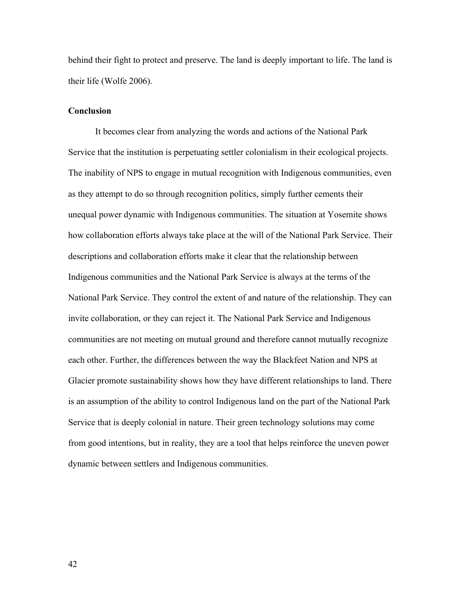behind their fight to protect and preserve. The land is deeply important to life. The land is their life (Wolfe 2006).

### **Conclusion**

It becomes clear from analyzing the words and actions of the National Park Service that the institution is perpetuating settler colonialism in their ecological projects. The inability of NPS to engage in mutual recognition with Indigenous communities, even as they attempt to do so through recognition politics, simply further cements their unequal power dynamic with Indigenous communities. The situation at Yosemite shows how collaboration efforts always take place at the will of the National Park Service. Their descriptions and collaboration efforts make it clear that the relationship between Indigenous communities and the National Park Service is always at the terms of the National Park Service. They control the extent of and nature of the relationship. They can invite collaboration, or they can reject it. The National Park Service and Indigenous communities are not meeting on mutual ground and therefore cannot mutually recognize each other. Further, the differences between the way the Blackfeet Nation and NPS at Glacier promote sustainability shows how they have different relationships to land. There is an assumption of the ability to control Indigenous land on the part of the National Park Service that is deeply colonial in nature. Their green technology solutions may come from good intentions, but in reality, they are a tool that helps reinforce the uneven power dynamic between settlers and Indigenous communities.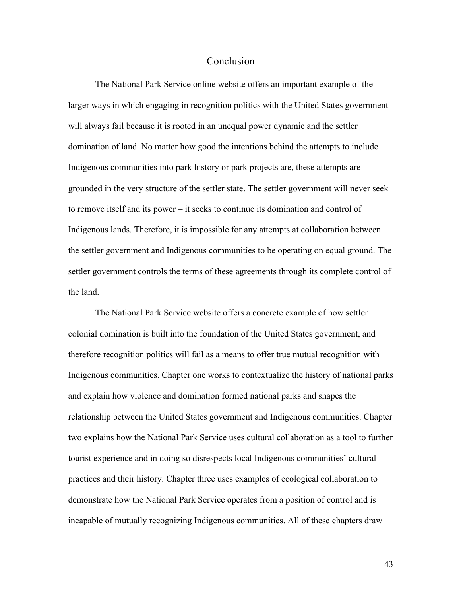# Conclusion

The National Park Service online website offers an important example of the larger ways in which engaging in recognition politics with the United States government will always fail because it is rooted in an unequal power dynamic and the settler domination of land. No matter how good the intentions behind the attempts to include Indigenous communities into park history or park projects are, these attempts are grounded in the very structure of the settler state. The settler government will never seek to remove itself and its power – it seeks to continue its domination and control of Indigenous lands. Therefore, it is impossible for any attempts at collaboration between the settler government and Indigenous communities to be operating on equal ground. The settler government controls the terms of these agreements through its complete control of the land.

The National Park Service website offers a concrete example of how settler colonial domination is built into the foundation of the United States government, and therefore recognition politics will fail as a means to offer true mutual recognition with Indigenous communities. Chapter one works to contextualize the history of national parks and explain how violence and domination formed national parks and shapes the relationship between the United States government and Indigenous communities. Chapter two explains how the National Park Service uses cultural collaboration as a tool to further tourist experience and in doing so disrespects local Indigenous communities' cultural practices and their history. Chapter three uses examples of ecological collaboration to demonstrate how the National Park Service operates from a position of control and is incapable of mutually recognizing Indigenous communities. All of these chapters draw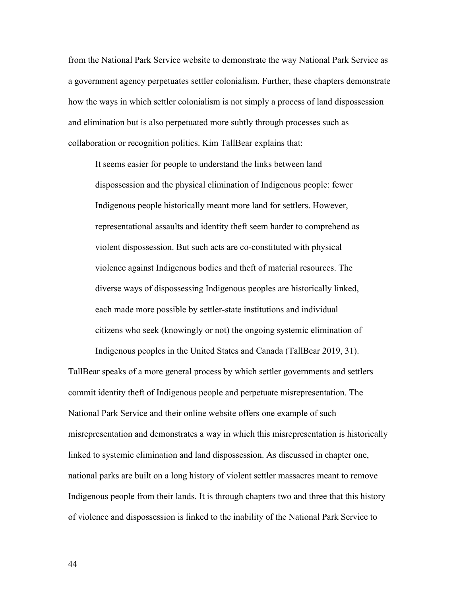from the National Park Service website to demonstrate the way National Park Service as a government agency perpetuates settler colonialism. Further, these chapters demonstrate how the ways in which settler colonialism is not simply a process of land dispossession and elimination but is also perpetuated more subtly through processes such as collaboration or recognition politics. Kim TallBear explains that:

It seems easier for people to understand the links between land dispossession and the physical elimination of Indigenous people: fewer Indigenous people historically meant more land for settlers. However, representational assaults and identity theft seem harder to comprehend as violent dispossession. But such acts are co-constituted with physical violence against Indigenous bodies and theft of material resources. The diverse ways of dispossessing Indigenous peoples are historically linked, each made more possible by settler-state institutions and individual citizens who seek (knowingly or not) the ongoing systemic elimination of

TallBear speaks of a more general process by which settler governments and settlers commit identity theft of Indigenous people and perpetuate misrepresentation. The National Park Service and their online website offers one example of such misrepresentation and demonstrates a way in which this misrepresentation is historically linked to systemic elimination and land dispossession. As discussed in chapter one, national parks are built on a long history of violent settler massacres meant to remove Indigenous people from their lands. It is through chapters two and three that this history of violence and dispossession is linked to the inability of the National Park Service to

Indigenous peoples in the United States and Canada (TallBear 2019, 31).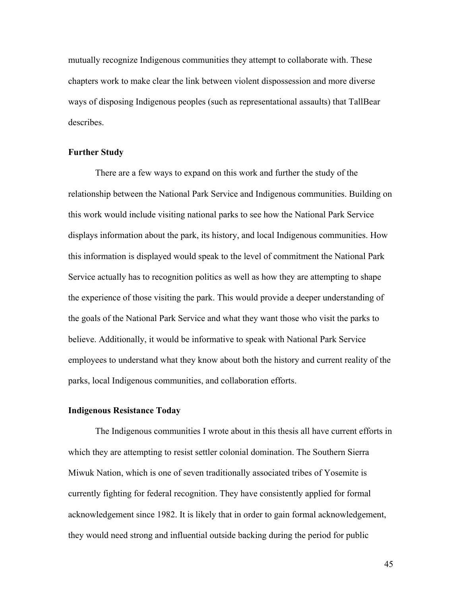mutually recognize Indigenous communities they attempt to collaborate with. These chapters work to make clear the link between violent dispossession and more diverse ways of disposing Indigenous peoples (such as representational assaults) that TallBear describes.

#### **Further Study**

There are a few ways to expand on this work and further the study of the relationship between the National Park Service and Indigenous communities. Building on this work would include visiting national parks to see how the National Park Service displays information about the park, its history, and local Indigenous communities. How this information is displayed would speak to the level of commitment the National Park Service actually has to recognition politics as well as how they are attempting to shape the experience of those visiting the park. This would provide a deeper understanding of the goals of the National Park Service and what they want those who visit the parks to believe. Additionally, it would be informative to speak with National Park Service employees to understand what they know about both the history and current reality of the parks, local Indigenous communities, and collaboration efforts.

### **Indigenous Resistance Today**

The Indigenous communities I wrote about in this thesis all have current efforts in which they are attempting to resist settler colonial domination. The Southern Sierra Miwuk Nation, which is one of seven traditionally associated tribes of Yosemite is currently fighting for federal recognition. They have consistently applied for formal acknowledgement since 1982. It is likely that in order to gain formal acknowledgement, they would need strong and influential outside backing during the period for public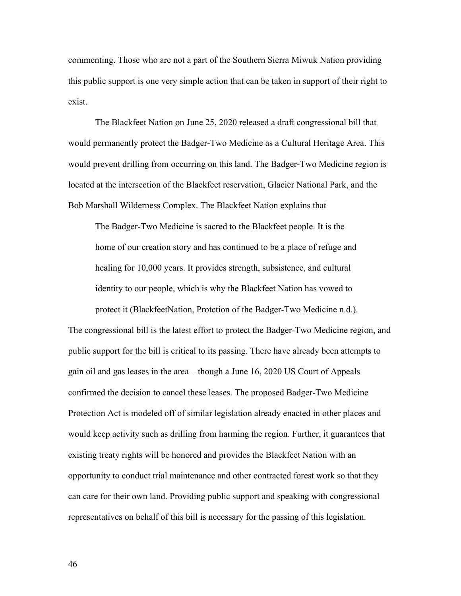commenting. Those who are not a part of the Southern Sierra Miwuk Nation providing this public support is one very simple action that can be taken in support of their right to exist.

The Blackfeet Nation on June 25, 2020 released a draft congressional bill that would permanently protect the Badger-Two Medicine as a Cultural Heritage Area. This would prevent drilling from occurring on this land. The Badger-Two Medicine region is located at the intersection of the Blackfeet reservation, Glacier National Park, and the Bob Marshall Wilderness Complex. The Blackfeet Nation explains that

The Badger-Two Medicine is sacred to the Blackfeet people. It is the home of our creation story and has continued to be a place of refuge and healing for 10,000 years. It provides strength, subsistence, and cultural identity to our people, which is why the Blackfeet Nation has vowed to protect it (BlackfeetNation, Protction of the Badger-Two Medicine n.d.).

The congressional bill is the latest effort to protect the Badger-Two Medicine region, and public support for the bill is critical to its passing. There have already been attempts to gain oil and gas leases in the area – though a June 16, 2020 US Court of Appeals confirmed the decision to cancel these leases. The proposed Badger-Two Medicine Protection Act is modeled off of similar legislation already enacted in other places and would keep activity such as drilling from harming the region. Further, it guarantees that existing treaty rights will be honored and provides the Blackfeet Nation with an opportunity to conduct trial maintenance and other contracted forest work so that they can care for their own land. Providing public support and speaking with congressional representatives on behalf of this bill is necessary for the passing of this legislation.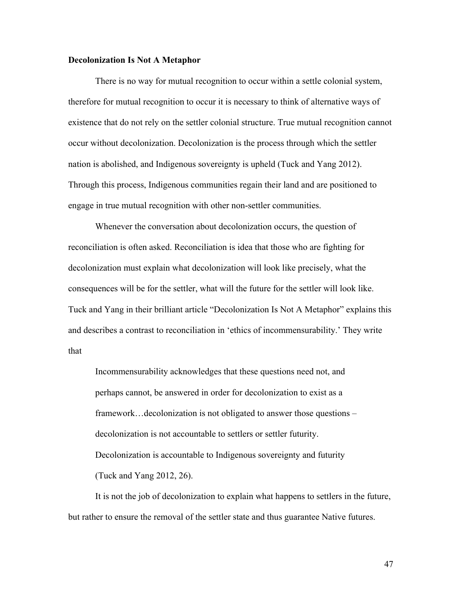### **Decolonization Is Not A Metaphor**

There is no way for mutual recognition to occur within a settle colonial system, therefore for mutual recognition to occur it is necessary to think of alternative ways of existence that do not rely on the settler colonial structure. True mutual recognition cannot occur without decolonization. Decolonization is the process through which the settler nation is abolished, and Indigenous sovereignty is upheld (Tuck and Yang 2012). Through this process, Indigenous communities regain their land and are positioned to engage in true mutual recognition with other non-settler communities.

Whenever the conversation about decolonization occurs, the question of reconciliation is often asked. Reconciliation is idea that those who are fighting for decolonization must explain what decolonization will look like precisely, what the consequences will be for the settler, what will the future for the settler will look like. Tuck and Yang in their brilliant article "Decolonization Is Not A Metaphor" explains this and describes a contrast to reconciliation in 'ethics of incommensurability.' They write that

Incommensurability acknowledges that these questions need not, and perhaps cannot, be answered in order for decolonization to exist as a framework…decolonization is not obligated to answer those questions – decolonization is not accountable to settlers or settler futurity. Decolonization is accountable to Indigenous sovereignty and futurity (Tuck and Yang 2012, 26).

It is not the job of decolonization to explain what happens to settlers in the future, but rather to ensure the removal of the settler state and thus guarantee Native futures.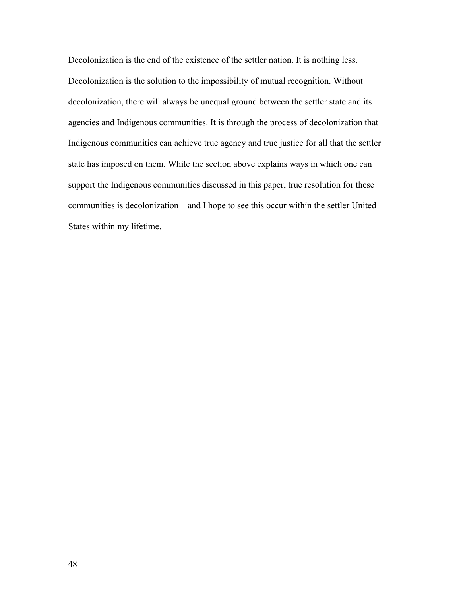Decolonization is the end of the existence of the settler nation. It is nothing less. Decolonization is the solution to the impossibility of mutual recognition. Without decolonization, there will always be unequal ground between the settler state and its agencies and Indigenous communities. It is through the process of decolonization that Indigenous communities can achieve true agency and true justice for all that the settler state has imposed on them. While the section above explains ways in which one can support the Indigenous communities discussed in this paper, true resolution for these communities is decolonization – and I hope to see this occur within the settler United States within my lifetime.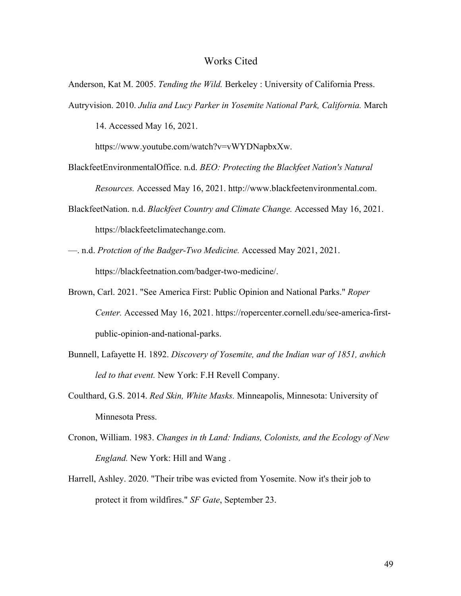# Works Cited

Anderson, Kat M. 2005. *Tending the Wild.* Berkeley : University of California Press.

Autryvision. 2010. *Julia and Lucy Parker in Yosemite National Park, California.* March 14. Accessed May 16, 2021.

https://www.youtube.com/watch?v=vWYDNapbxXw.

BlackfeetEnvironmentalOffice. n.d. *BEO: Protecting the Blackfeet Nation's Natural* 

*Resources.* Accessed May 16, 2021. http://www.blackfeetenvironmental.com.

- BlackfeetNation. n.d. *Blackfeet Country and Climate Change.* Accessed May 16, 2021. https://blackfeetclimatechange.com.
- —. n.d. *Protction of the Badger-Two Medicine.* Accessed May 2021, 2021. https://blackfeetnation.com/badger-two-medicine/.
- Brown, Carl. 2021. "See America First: Public Opinion and National Parks." *Roper Center.* Accessed May 16, 2021. https://ropercenter.cornell.edu/see-america-firstpublic-opinion-and-national-parks.
- Bunnell, Lafayette H. 1892. *Discovery of Yosemite, and the Indian war of 1851, awhich led to that event.* New York: F.H Revell Company.
- Coulthard, G.S. 2014. *Red Skin, White Masks.* Minneapolis, Minnesota: University of Minnesota Press.
- Cronon, William. 1983. *Changes in th Land: Indians, Colonists, and the Ecology of New England.* New York: Hill and Wang .
- Harrell, Ashley. 2020. "Their tribe was evicted from Yosemite. Now it's their job to protect it from wildfires." *SF Gate*, September 23.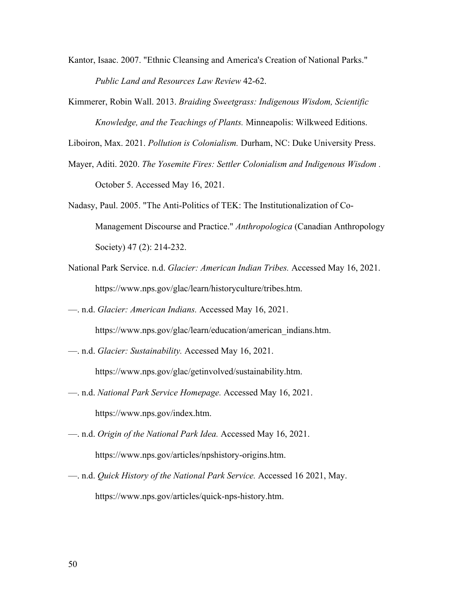- Kantor, Isaac. 2007. "Ethnic Cleansing and America's Creation of National Parks." *Public Land and Resources Law Review* 42-62.
- Kimmerer, Robin Wall. 2013. *Braiding Sweetgrass: Indigenous Wisdom, Scientific Knowledge, and the Teachings of Plants.* Minneapolis: Wilkweed Editions.

Liboiron, Max. 2021. *Pollution is Colonialism.* Durham, NC: Duke University Press.

- Mayer, Aditi. 2020. *The Yosemite Fires: Settler Colonialism and Indigenous Wisdom .* October 5. Accessed May 16, 2021.
- Nadasy, Paul. 2005. "The Anti-Politics of TEK: The Institutionalization of Co-Management Discourse and Practice." *Anthropologica* (Canadian Anthropology Society) 47 (2): 214-232.
- National Park Service. n.d. *Glacier: American Indian Tribes.* Accessed May 16, 2021. https://www.nps.gov/glac/learn/historyculture/tribes.htm.
- —. n.d. *Glacier: American Indians.* Accessed May 16, 2021. https://www.nps.gov/glac/learn/education/american\_indians.htm.
- —. n.d. *Glacier: Sustainability.* Accessed May 16, 2021.

https://www.nps.gov/glac/getinvolved/sustainability.htm.

- —. n.d. *National Park Service Homepage.* Accessed May 16, 2021. https://www.nps.gov/index.htm.
- —. n.d. *Origin of the National Park Idea.* Accessed May 16, 2021. https://www.nps.gov/articles/npshistory-origins.htm.
- —. n.d. *Quick History of the National Park Service.* Accessed 16 2021, May. https://www.nps.gov/articles/quick-nps-history.htm.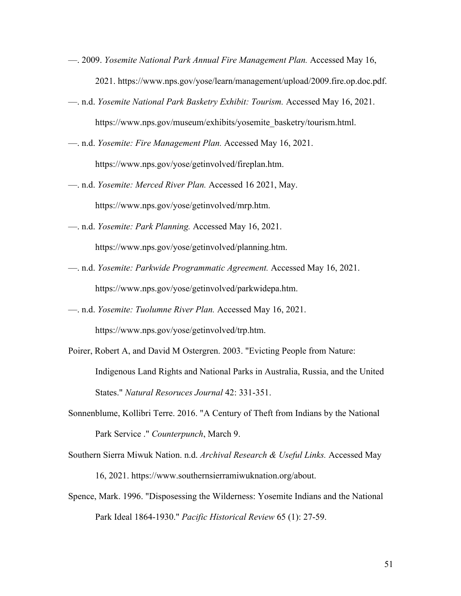- —. 2009. *Yosemite National Park Annual Fire Management Plan.* Accessed May 16, 2021. https://www.nps.gov/yose/learn/management/upload/2009.fire.op.doc.pdf.
- —. n.d. *Yosemite National Park Basketry Exhibit: Tourism.* Accessed May 16, 2021. https://www.nps.gov/museum/exhibits/yosemite\_basketry/tourism.html.
- —. n.d. *Yosemite: Fire Management Plan.* Accessed May 16, 2021. https://www.nps.gov/yose/getinvolved/fireplan.htm.
- —. n.d. *Yosemite: Merced River Plan.* Accessed 16 2021, May. https://www.nps.gov/yose/getinvolved/mrp.htm.
- —. n.d. *Yosemite: Park Planning.* Accessed May 16, 2021.

https://www.nps.gov/yose/getinvolved/planning.htm.

- —. n.d. *Yosemite: Parkwide Programmatic Agreement.* Accessed May 16, 2021. https://www.nps.gov/yose/getinvolved/parkwidepa.htm.
- —. n.d. *Yosemite: Tuolumne River Plan.* Accessed May 16, 2021. https://www.nps.gov/yose/getinvolved/trp.htm.
- Poirer, Robert A, and David M Ostergren. 2003. "Evicting People from Nature: Indigenous Land Rights and National Parks in Australia, Russia, and the United States." *Natural Resoruces Journal* 42: 331-351.
- Sonnenblume, Kollibri Terre. 2016. "A Century of Theft from Indians by the National Park Service ." *Counterpunch*, March 9.
- Southern Sierra Miwuk Nation. n.d. *Archival Research & Useful Links.* Accessed May 16, 2021. https://www.southernsierramiwuknation.org/about.
- Spence, Mark. 1996. "Disposessing the Wilderness: Yosemite Indians and the National Park Ideal 1864-1930." *Pacific Historical Review* 65 (1): 27-59.